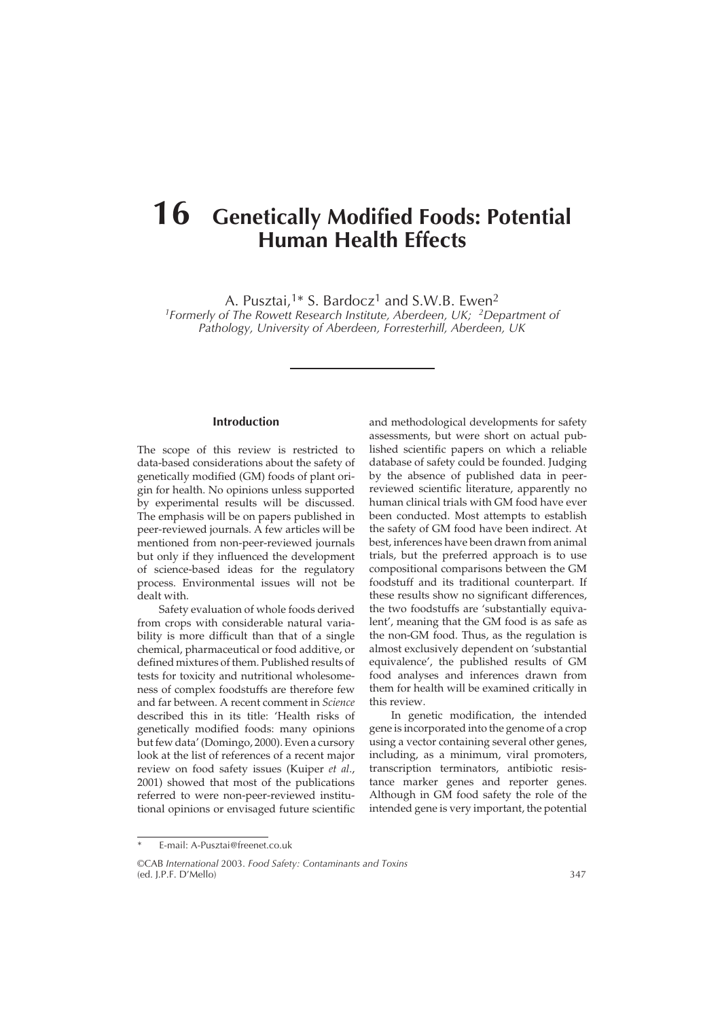# **16 Genetically Modified Foods: Potential Human Health Effects**

A. Pusztai,<sup>1\*</sup> S. Bardocz<sup>1</sup> and S.W.B. Ewen<sup>2</sup> *1Formerly of The Rowett Research Institute, Aberdeen, UK; 2Department of Pathology, University of Aberdeen, Forresterhill, Aberdeen, UK*

# **Introduction**

The scope of this review is restricted to data-based considerations about the safety of genetically modified (GM) foods of plant origin for health. No opinions unless supported by experimental results will be discussed. The emphasis will be on papers published in peer-reviewed journals. A few articles will be mentioned from non-peer-reviewed journals but only if they influenced the development of science-based ideas for the regulatory process. Environmental issues will not be dealt with.

Safety evaluation of whole foods derived from crops with considerable natural variability is more difficult than that of a single chemical, pharmaceutical or food additive, or defined mixtures of them. Published results of tests for toxicity and nutritional wholesomeness of complex foodstuffs are therefore few and far between. A recent comment in *Science* described this in its title: 'Health risks of genetically modified foods: many opinions but few data' (Domingo, 2000). Even a cursory look at the list of references of a recent major review on food safety issues (Kuiper *et al*., 2001) showed that most of the publications referred to were non-peer-reviewed institutional opinions or envisaged future scientific and methodological developments for safety assessments, but were short on actual published scientific papers on which a reliable database of safety could be founded. Judging by the absence of published data in peerreviewed scientific literature, apparently no human clinical trials with GM food have ever been conducted. Most attempts to establish the safety of GM food have been indirect. At best, inferences have been drawn from animal trials, but the preferred approach is to use compositional comparisons between the GM foodstuff and its traditional counterpart. If these results show no significant differences, the two foodstuffs are 'substantially equivalent', meaning that the GM food is as safe as the non-GM food. Thus, as the regulation is almost exclusively dependent on 'substantial equivalence', the published results of GM food analyses and inferences drawn from them for health will be examined critically in this review.

In genetic modification, the intended gene is incorporated into the genome of a crop using a vector containing several other genes, including, as a minimum, viral promoters, transcription terminators, antibiotic resistance marker genes and reporter genes. Although in GM food safety the role of the intended gene is very important, the potential

E-mail: A-Pusztai@freenet.co.uk

<sup>©</sup>CAB *International* 2003. *Food Safety: Contaminants and Toxins* (ed. J.P.F. D'Mello) 347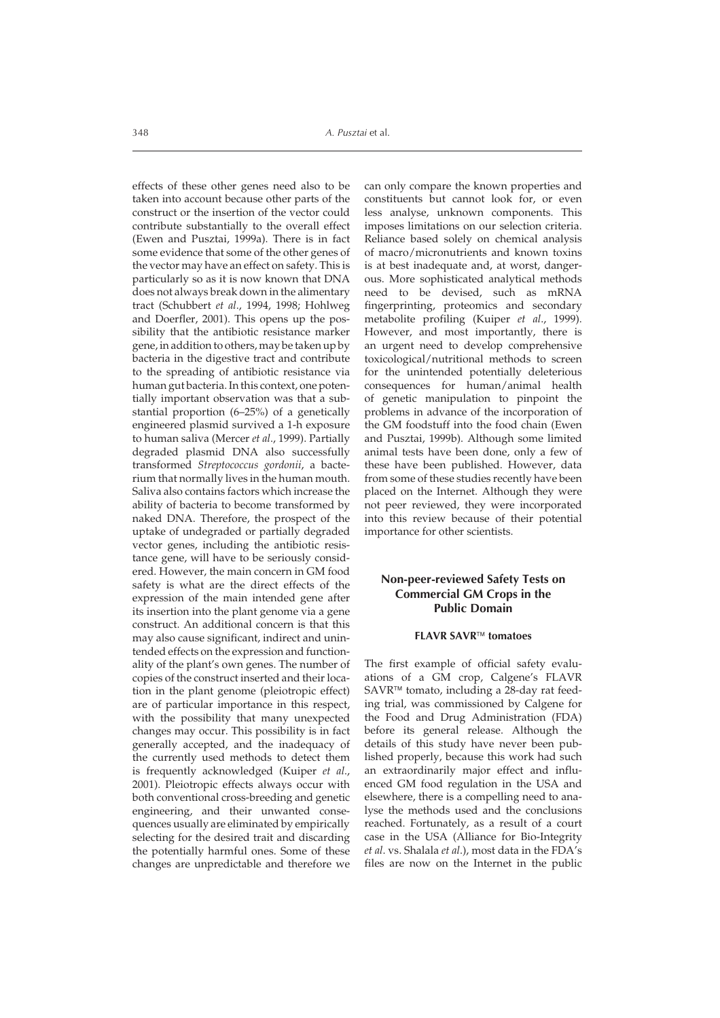effects of these other genes need also to be taken into account because other parts of the construct or the insertion of the vector could contribute substantially to the overall effect (Ewen and Pusztai, 1999a). There is in fact some evidence that some of the other genes of the vector may have an effect on safety. This is particularly so as it is now known that DNA does not always break down in the alimentary tract (Schubbert *et al*., 1994, 1998; Hohlweg and Doerfler, 2001). This opens up the possibility that the antibiotic resistance marker gene, in addition to others, may be taken up by bacteria in the digestive tract and contribute to the spreading of antibiotic resistance via human gut bacteria. In this context, one potentially important observation was that a substantial proportion (6–25%) of a genetically engineered plasmid survived a 1-h exposure to human saliva (Mercer *et al*., 1999). Partially degraded plasmid DNA also successfully transformed *Streptococcus gordonii*, a bacterium that normally lives in the human mouth. Saliva also contains factors which increase the ability of bacteria to become transformed by naked DNA. Therefore, the prospect of the uptake of undegraded or partially degraded vector genes, including the antibiotic resistance gene, will have to be seriously considered. However, the main concern in GM food safety is what are the direct effects of the expression of the main intended gene after its insertion into the plant genome via a gene construct. An additional concern is that this may also cause significant, indirect and unintended effects on the expression and functionality of the plant's own genes. The number of copies of the construct inserted and their location in the plant genome (pleiotropic effect) are of particular importance in this respect, with the possibility that many unexpected changes may occur. This possibility is in fact generally accepted, and the inadequacy of the currently used methods to detect them is frequently acknowledged (Kuiper *et al*., 2001). Pleiotropic effects always occur with both conventional cross-breeding and genetic engineering, and their unwanted consequences usually are eliminated by empirically selecting for the desired trait and discarding the potentially harmful ones. Some of these changes are unpredictable and therefore we

can only compare the known properties and constituents but cannot look for, or even less analyse, unknown components. This imposes limitations on our selection criteria. Reliance based solely on chemical analysis of macro/micronutrients and known toxins is at best inadequate and, at worst, dangerous. More sophisticated analytical methods need to be devised, such as mRNA fingerprinting, proteomics and secondary metabolite profiling (Kuiper *et al*., 1999). However, and most importantly, there is an urgent need to develop comprehensive toxicological/nutritional methods to screen for the unintended potentially deleterious consequences for human/animal health of genetic manipulation to pinpoint the problems in advance of the incorporation of the GM foodstuff into the food chain (Ewen and Pusztai, 1999b). Although some limited animal tests have been done, only a few of these have been published. However, data from some of these studies recently have been placed on the Internet. Although they were not peer reviewed, they were incorporated into this review because of their potential importance for other scientists.

# **Non-peer-reviewed Safety Tests on Commercial GM Crops in the Public Domain**

## **FLAVR SAVR™ tomatoes**

The first example of official safety evaluations of a GM crop, Calgene's FLAVR  $SAVR^{TM}$  tomato, including a 28-day rat feeding trial, was commissioned by Calgene for the Food and Drug Administration (FDA) before its general release. Although the details of this study have never been published properly, because this work had such an extraordinarily major effect and influenced GM food regulation in the USA and elsewhere, there is a compelling need to analyse the methods used and the conclusions reached. Fortunately, as a result of a court case in the USA (Alliance for Bio-Integrity *et al*. vs. Shalala *et al*.), most data in the FDA's files are now on the Internet in the public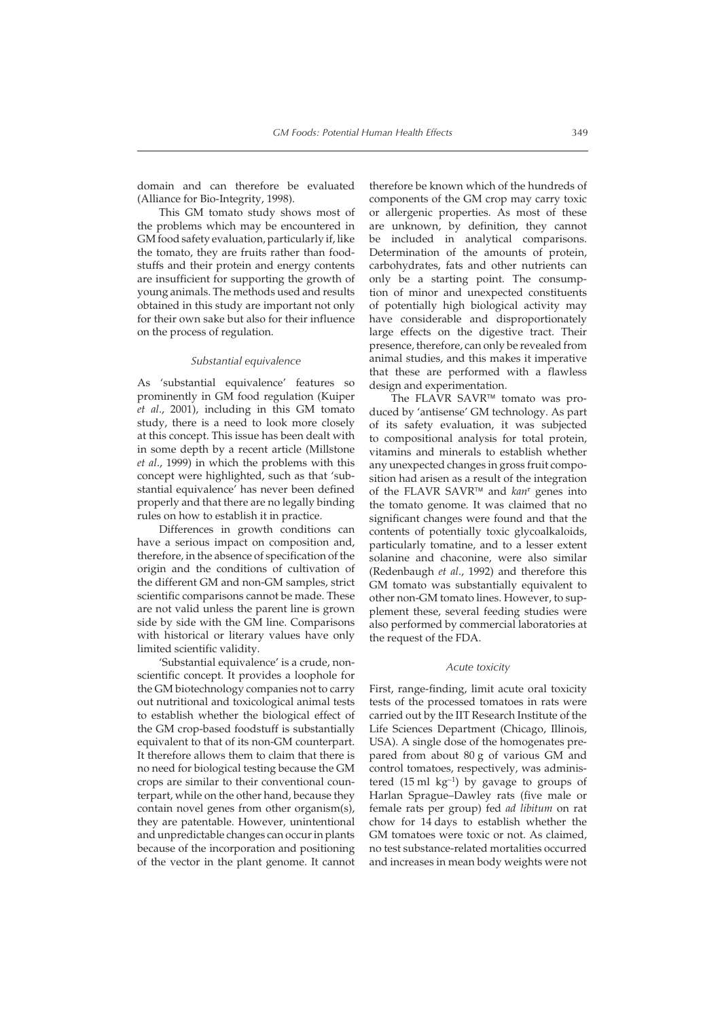domain and can therefore be evaluated (Alliance for Bio-Integrity, 1998).

This GM tomato study shows most of the problems which may be encountered in GM food safety evaluation, particularly if, like the tomato, they are fruits rather than foodstuffs and their protein and energy contents are insufficient for supporting the growth of young animals. The methods used and results obtained in this study are important not only for their own sake but also for their influence on the process of regulation.

#### *Substantial equivalence*

As 'substantial equivalence' features so prominently in GM food regulation (Kuiper *et al*., 2001), including in this GM tomato study, there is a need to look more closely at this concept. This issue has been dealt with in some depth by a recent article (Millstone *et al*., 1999) in which the problems with this concept were highlighted, such as that 'substantial equivalence' has never been defined properly and that there are no legally binding rules on how to establish it in practice.

Differences in growth conditions can have a serious impact on composition and, therefore, in the absence of specification of the origin and the conditions of cultivation of the different GM and non-GM samples, strict scientific comparisons cannot be made. These are not valid unless the parent line is grown side by side with the GM line. Comparisons with historical or literary values have only limited scientific validity.

'Substantial equivalence' is a crude, nonscientific concept. It provides a loophole for the GM biotechnology companies not to carry out nutritional and toxicological animal tests to establish whether the biological effect of the GM crop-based foodstuff is substantially equivalent to that of its non-GM counterpart. It therefore allows them to claim that there is no need for biological testing because the GM crops are similar to their conventional counterpart, while on the other hand, because they contain novel genes from other organism(s), they are patentable. However, unintentional and unpredictable changes can occur in plants because of the incorporation and positioning of the vector in the plant genome. It cannot therefore be known which of the hundreds of components of the GM crop may carry toxic or allergenic properties. As most of these are unknown, by definition, they cannot be included in analytical comparisons. Determination of the amounts of protein, carbohydrates, fats and other nutrients can only be a starting point. The consumption of minor and unexpected constituents of potentially high biological activity may have considerable and disproportionately large effects on the digestive tract. Their presence, therefore, can only be revealed from animal studies, and this makes it imperative that these are performed with a flawless design and experimentation.

The FLAVR SAVR™ tomato was produced by 'antisense' GM technology. As part of its safety evaluation, it was subjected to compositional analysis for total protein, vitamins and minerals to establish whether any unexpected changes in gross fruit composition had arisen as a result of the integration of the FLAVR SAVR<sup>™</sup> and *kan<sup>r</sup>* genes into the tomato genome. It was claimed that no significant changes were found and that the contents of potentially toxic glycoalkaloids, particularly tomatine, and to a lesser extent solanine and chaconine, were also similar (Redenbaugh *et al*., 1992) and therefore this GM tomato was substantially equivalent to other non-GM tomato lines. However, to supplement these, several feeding studies were also performed by commercial laboratories at the request of the FDA.

#### *Acute toxicity*

First, range-finding, limit acute oral toxicity tests of the processed tomatoes in rats were carried out by the IIT Research Institute of the Life Sciences Department (Chicago, Illinois, USA). A single dose of the homogenates prepared from about 80 g of various GM and control tomatoes, respectively, was administered (15 ml kg<sup>−</sup><sup>1</sup> ) by gavage to groups of Harlan Sprague–Dawley rats (five male or female rats per group) fed *ad libitum* on rat chow for 14 days to establish whether the GM tomatoes were toxic or not. As claimed, no test substance-related mortalities occurred and increases in mean body weights were not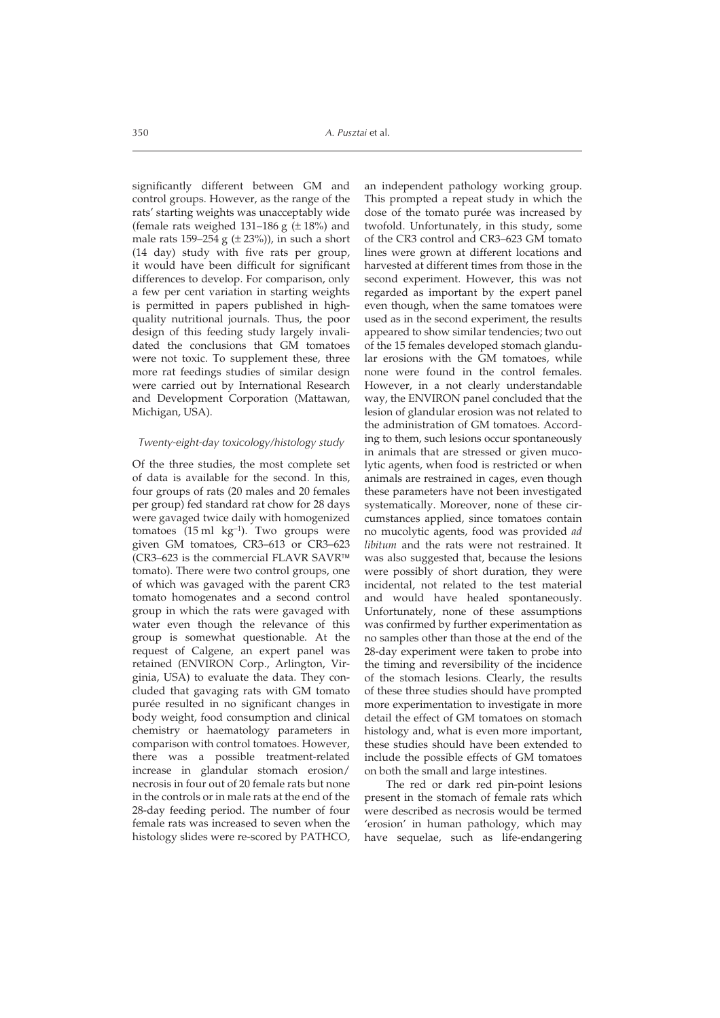significantly different between GM and control groups. However, as the range of the rats' starting weights was unacceptably wide (female rats weighed 131–186 g  $(\pm 18\%)$  and male rats 159–254 g  $(\pm 23\%)$ , in such a short (14 day) study with five rats per group, it would have been difficult for significant differences to develop. For comparison, only a few per cent variation in starting weights is permitted in papers published in highquality nutritional journals. Thus, the poor design of this feeding study largely invalidated the conclusions that GM tomatoes were not toxic. To supplement these, three more rat feedings studies of similar design were carried out by International Research and Development Corporation (Mattawan, Michigan, USA).

## *Twenty-eight-day toxicology/histology study*

Of the three studies, the most complete set of data is available for the second. In this, four groups of rats (20 males and 20 females per group) fed standard rat chow for 28 days were gavaged twice daily with homogenized tomatoes (15 ml kg<sup>−</sup>1). Two groups were given GM tomatoes, CR3–613 or CR3–623 (CR3–623 is the commercial FLAVR SAVR tomato). There were two control groups, one of which was gavaged with the parent CR3 tomato homogenates and a second control group in which the rats were gavaged with water even though the relevance of this group is somewhat questionable. At the request of Calgene, an expert panel was retained (ENVIRON Corp., Arlington, Virginia, USA) to evaluate the data. They concluded that gavaging rats with GM tomato purée resulted in no significant changes in body weight, food consumption and clinical chemistry or haematology parameters in comparison with control tomatoes. However, there was a possible treatment-related increase in glandular stomach erosion/ necrosis in four out of 20 female rats but none in the controls or in male rats at the end of the 28-day feeding period. The number of four female rats was increased to seven when the histology slides were re-scored by PATHCO,

an independent pathology working group. This prompted a repeat study in which the dose of the tomato purée was increased by twofold. Unfortunately, in this study, some of the CR3 control and CR3–623 GM tomato lines were grown at different locations and harvested at different times from those in the second experiment. However, this was not regarded as important by the expert panel even though, when the same tomatoes were used as in the second experiment, the results appeared to show similar tendencies; two out of the 15 females developed stomach glandular erosions with the GM tomatoes, while none were found in the control females. However, in a not clearly understandable way, the ENVIRON panel concluded that the lesion of glandular erosion was not related to the administration of GM tomatoes. According to them, such lesions occur spontaneously in animals that are stressed or given mucolytic agents, when food is restricted or when animals are restrained in cages, even though these parameters have not been investigated systematically. Moreover, none of these circumstances applied, since tomatoes contain no mucolytic agents, food was provided *ad libitum* and the rats were not restrained. It was also suggested that, because the lesions were possibly of short duration, they were incidental, not related to the test material and would have healed spontaneously. Unfortunately, none of these assumptions was confirmed by further experimentation as no samples other than those at the end of the 28-day experiment were taken to probe into the timing and reversibility of the incidence of the stomach lesions. Clearly, the results of these three studies should have prompted more experimentation to investigate in more detail the effect of GM tomatoes on stomach histology and, what is even more important, these studies should have been extended to include the possible effects of GM tomatoes on both the small and large intestines.

The red or dark red pin-point lesions present in the stomach of female rats which were described as necrosis would be termed 'erosion' in human pathology, which may have sequelae, such as life-endangering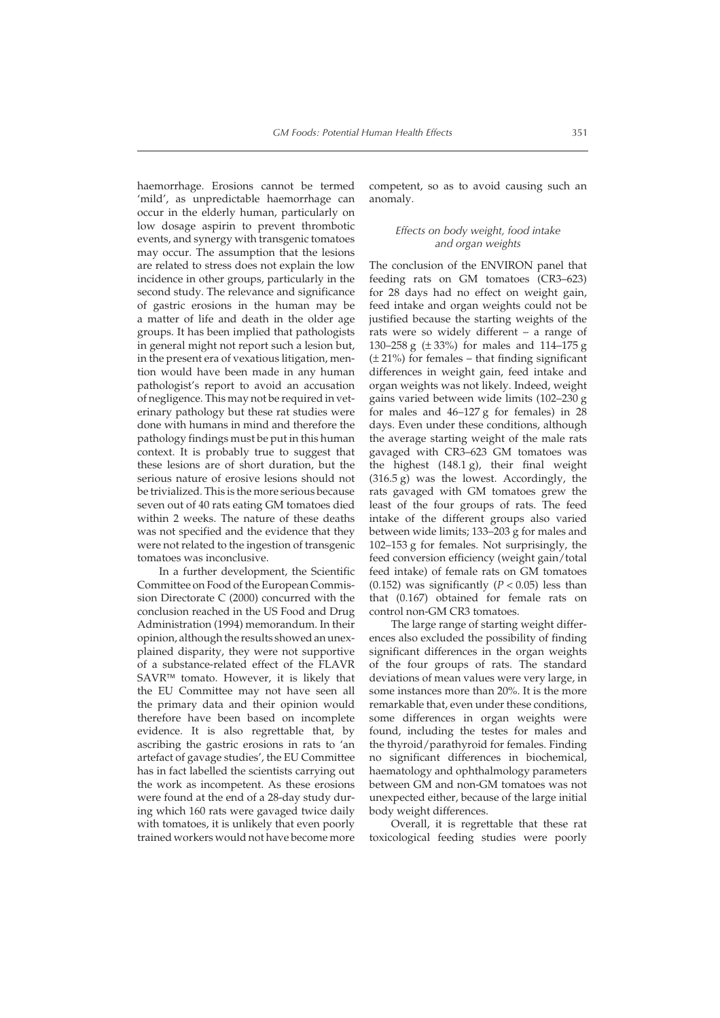haemorrhage. Erosions cannot be termed 'mild', as unpredictable haemorrhage can occur in the elderly human, particularly on low dosage aspirin to prevent thrombotic events, and synergy with transgenic tomatoes may occur. The assumption that the lesions are related to stress does not explain the low incidence in other groups, particularly in the second study. The relevance and significance of gastric erosions in the human may be a matter of life and death in the older age groups. It has been implied that pathologists in general might not report such a lesion but, in the present era of vexatious litigation, mention would have been made in any human pathologist's report to avoid an accusation of negligence. This may not be required in veterinary pathology but these rat studies were done with humans in mind and therefore the pathology findings must be put in this human context. It is probably true to suggest that these lesions are of short duration, but the serious nature of erosive lesions should not be trivialized. This is the more serious because seven out of 40 rats eating GM tomatoes died within 2 weeks. The nature of these deaths was not specified and the evidence that they were not related to the ingestion of transgenic tomatoes was inconclusive.

In a further development, the Scientific Committee on Food of the European Commission Directorate C (2000) concurred with the conclusion reached in the US Food and Drug Administration (1994) memorandum. In their opinion, although the results showed an unexplained disparity, they were not supportive of a substance-related effect of the FLAVR  $SAVR^{TM}$  tomato. However, it is likely that the EU Committee may not have seen all the primary data and their opinion would therefore have been based on incomplete evidence. It is also regrettable that, by ascribing the gastric erosions in rats to 'an artefact of gavage studies', the EU Committee has in fact labelled the scientists carrying out the work as incompetent. As these erosions were found at the end of a 28-day study during which 160 rats were gavaged twice daily with tomatoes, it is unlikely that even poorly trained workers would not have become more competent, so as to avoid causing such an anomaly.

# *Effects on body weight, food intake and organ weights*

The conclusion of the ENVIRON panel that feeding rats on GM tomatoes (CR3–623) for 28 days had no effect on weight gain, feed intake and organ weights could not be justified because the starting weights of the rats were so widely different – a range of 130–258 g (± 33%) for males and 114–175 g  $(\pm 21\%)$  for females – that finding significant differences in weight gain, feed intake and organ weights was not likely. Indeed, weight gains varied between wide limits (102–230 g for males and 46–127 g for females) in 28 days. Even under these conditions, although the average starting weight of the male rats gavaged with CR3–623 GM tomatoes was the highest (148.1 g), their final weight (316.5 g) was the lowest. Accordingly, the rats gavaged with GM tomatoes grew the least of the four groups of rats. The feed intake of the different groups also varied between wide limits; 133–203 g for males and 102–153 g for females. Not surprisingly, the feed conversion efficiency (weight gain/total feed intake) of female rats on GM tomatoes (0.152) was significantly  $(P < 0.05)$  less than that (0.167) obtained for female rats on control non-GM CR3 tomatoes.

The large range of starting weight differences also excluded the possibility of finding significant differences in the organ weights of the four groups of rats. The standard deviations of mean values were very large, in some instances more than 20%. It is the more remarkable that, even under these conditions, some differences in organ weights were found, including the testes for males and the thyroid/parathyroid for females. Finding no significant differences in biochemical, haematology and ophthalmology parameters between GM and non-GM tomatoes was not unexpected either, because of the large initial body weight differences.

Overall, it is regrettable that these rat toxicological feeding studies were poorly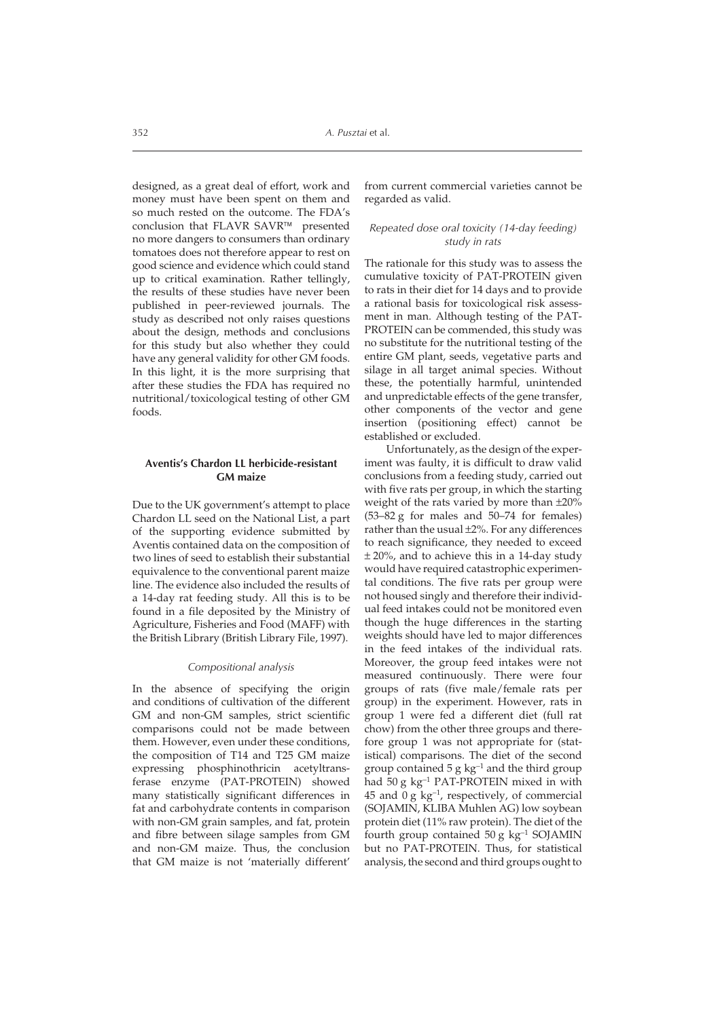designed, as a great deal of effort, work and money must have been spent on them and so much rested on the outcome. The FDA's conclusion that FLAVR SAVR™ presented no more dangers to consumers than ordinary tomatoes does not therefore appear to rest on good science and evidence which could stand up to critical examination. Rather tellingly, the results of these studies have never been published in peer-reviewed journals. The study as described not only raises questions about the design, methods and conclusions for this study but also whether they could have any general validity for other GM foods. In this light, it is the more surprising that after these studies the FDA has required no nutritional/toxicological testing of other GM foods.

## **Aventis's Chardon LL herbicide-resistant GM maize**

Due to the UK government's attempt to place Chardon LL seed on the National List, a part of the supporting evidence submitted by Aventis contained data on the composition of two lines of seed to establish their substantial equivalence to the conventional parent maize line. The evidence also included the results of a 14-day rat feeding study. All this is to be found in a file deposited by the Ministry of Agriculture, Fisheries and Food (MAFF) with the British Library (British Library File, 1997).

## *Compositional analysis*

In the absence of specifying the origin and conditions of cultivation of the different GM and non-GM samples, strict scientific comparisons could not be made between them. However, even under these conditions, the composition of T14 and T25 GM maize expressing phosphinothricin acetyltransferase enzyme (PAT-PROTEIN) showed many statistically significant differences in fat and carbohydrate contents in comparison with non-GM grain samples, and fat, protein and fibre between silage samples from GM and non-GM maize. Thus, the conclusion that GM maize is not 'materially different'

from current commercial varieties cannot be regarded as valid.

## *Repeated dose oral toxicity (14-day feeding) study in rats*

The rationale for this study was to assess the cumulative toxicity of PAT-PROTEIN given to rats in their diet for 14 days and to provide a rational basis for toxicological risk assessment in man. Although testing of the PAT-PROTEIN can be commended, this study was no substitute for the nutritional testing of the entire GM plant, seeds, vegetative parts and silage in all target animal species. Without these, the potentially harmful, unintended and unpredictable effects of the gene transfer, other components of the vector and gene insertion (positioning effect) cannot be established or excluded.

Unfortunately, as the design of the experiment was faulty, it is difficult to draw valid conclusions from a feeding study, carried out with five rats per group, in which the starting weight of the rats varied by more than ±20% (53–82 g for males and 50–74 for females) rather than the usual  $\pm 2\%$ . For any differences to reach significance, they needed to exceed  $\pm$  20%, and to achieve this in a 14-day study would have required catastrophic experimental conditions. The five rats per group were not housed singly and therefore their individual feed intakes could not be monitored even though the huge differences in the starting weights should have led to major differences in the feed intakes of the individual rats. Moreover, the group feed intakes were not measured continuously. There were four groups of rats (five male/female rats per group) in the experiment. However, rats in group 1 were fed a different diet (full rat chow) from the other three groups and therefore group 1 was not appropriate for (statistical) comparisons. The diet of the second group contained  $5$  g kg<sup>-1</sup> and the third group had 50 g kg<sup>−</sup><sup>1</sup> PAT-PROTEIN mixed in with 45 and  $0 \text{ g kg}^{-1}$ , respectively, of commercial (SOJAMIN, KLIBA Muhlen AG) low soybean protein diet (11% raw protein). The diet of the fourth group contained 50 g kg<sup>-1</sup> SOJAMIN but no PAT-PROTEIN. Thus, for statistical analysis, the second and third groups ought to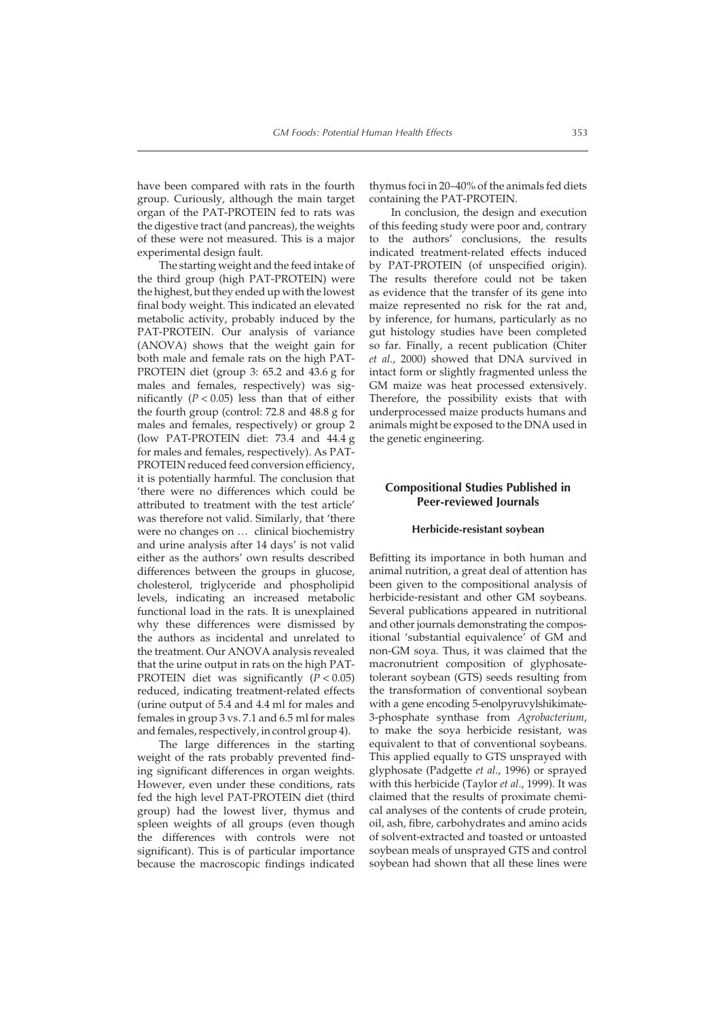have been compared with rats in the fourth group. Curiously, although the main target organ of the PAT-PROTEIN fed to rats was the digestive tract (and pancreas), the weights of these were not measured. This is a major experimental design fault.

The starting weight and the feed intake of the third group (high PAT-PROTEIN) were the highest, but they ended up with the lowest final body weight. This indicated an elevated metabolic activity, probably induced by the PAT-PROTEIN. Our analysis of variance (ANOVA) shows that the weight gain for both male and female rats on the high PAT-PROTEIN diet (group 3: 65.2 and 43.6 g for males and females, respectively) was significantly  $(P < 0.05)$  less than that of either the fourth group (control: 72.8 and 48.8 g for males and females, respectively) or group 2 (low PAT-PROTEIN diet: 73.4 and 44.4 g for males and females, respectively). As PAT-PROTEIN reduced feed conversion efficiency, it is potentially harmful. The conclusion that 'there were no differences which could be attributed to treatment with the test article' was therefore not valid. Similarly, that 'there were no changes on … clinical biochemistry and urine analysis after 14 days' is not valid either as the authors' own results described differences between the groups in glucose, cholesterol, triglyceride and phospholipid levels, indicating an increased metabolic functional load in the rats. It is unexplained why these differences were dismissed by the authors as incidental and unrelated to the treatment. Our ANOVA analysis revealed that the urine output in rats on the high PAT-PROTEIN diet was significantly (*P* < 0.05) reduced, indicating treatment-related effects (urine output of 5.4 and 4.4 ml for males and females in group 3 vs. 7.1 and 6.5 ml for males and females, respectively, in control group 4).

The large differences in the starting weight of the rats probably prevented finding significant differences in organ weights. However, even under these conditions, rats fed the high level PAT-PROTEIN diet (third group) had the lowest liver, thymus and spleen weights of all groups (even though the differences with controls were not significant). This is of particular importance because the macroscopic findings indicated thymus foci in 20–40% of the animals fed diets containing the PAT-PROTEIN.

In conclusion, the design and execution of this feeding study were poor and, contrary to the authors' conclusions, the results indicated treatment-related effects induced by PAT-PROTEIN (of unspecified origin). The results therefore could not be taken as evidence that the transfer of its gene into maize represented no risk for the rat and, by inference, for humans, particularly as no gut histology studies have been completed so far. Finally, a recent publication (Chiter *et al*., 2000) showed that DNA survived in intact form or slightly fragmented unless the GM maize was heat processed extensively. Therefore, the possibility exists that with underprocessed maize products humans and animals might be exposed to the DNA used in the genetic engineering.

# **Compositional Studies Published in Peer-reviewed Journals**

#### **Herbicide-resistant soybean**

Befitting its importance in both human and animal nutrition, a great deal of attention has been given to the compositional analysis of herbicide-resistant and other GM soybeans. Several publications appeared in nutritional and other journals demonstrating the compositional 'substantial equivalence' of GM and non-GM soya. Thus, it was claimed that the macronutrient composition of glyphosatetolerant soybean (GTS) seeds resulting from the transformation of conventional soybean with a gene encoding 5-enolpyruvylshikimate-3-phosphate synthase from *Agrobacterium*, to make the soya herbicide resistant, was equivalent to that of conventional soybeans. This applied equally to GTS unsprayed with glyphosate (Padgette *et al*., 1996) or sprayed with this herbicide (Taylor *et al*., 1999). It was claimed that the results of proximate chemical analyses of the contents of crude protein, oil, ash, fibre, carbohydrates and amino acids of solvent-extracted and toasted or untoasted soybean meals of unsprayed GTS and control soybean had shown that all these lines were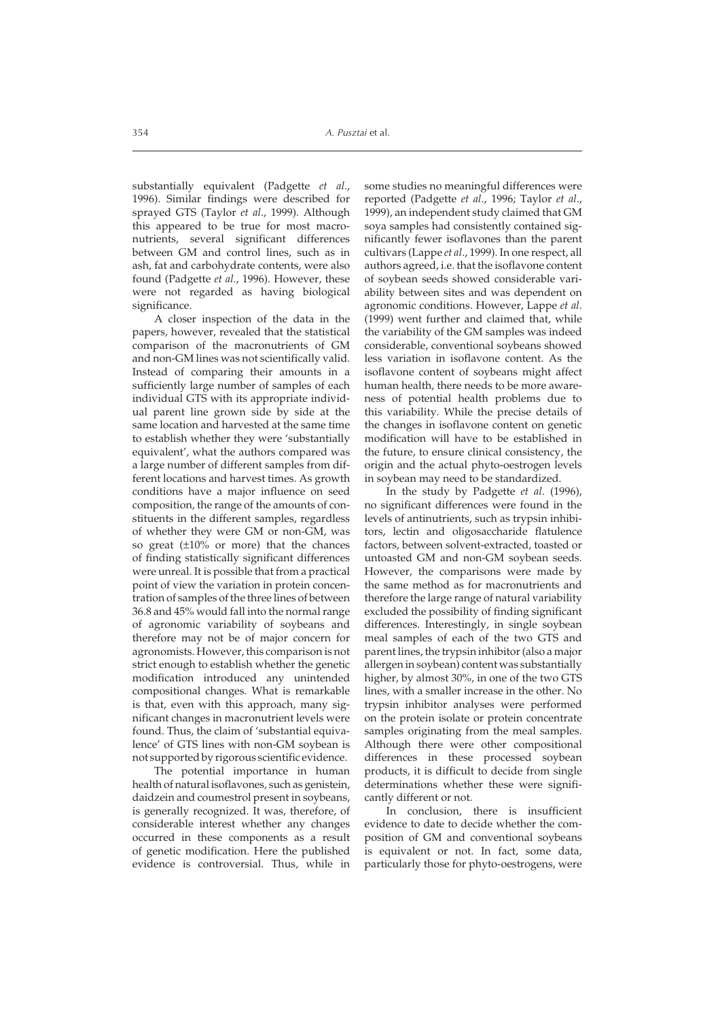substantially equivalent (Padgette *et al*., 1996). Similar findings were described for sprayed GTS (Taylor *et al*., 1999). Although this appeared to be true for most macronutrients, several significant differences between GM and control lines, such as in ash, fat and carbohydrate contents, were also found (Padgette *et al*., 1996). However, these were not regarded as having biological significance.

A closer inspection of the data in the papers, however, revealed that the statistical comparison of the macronutrients of GM and non-GM lines was not scientifically valid. Instead of comparing their amounts in a sufficiently large number of samples of each individual GTS with its appropriate individual parent line grown side by side at the same location and harvested at the same time to establish whether they were 'substantially equivalent', what the authors compared was a large number of different samples from different locations and harvest times. As growth conditions have a major influence on seed composition, the range of the amounts of constituents in the different samples, regardless of whether they were GM or non-GM, was so great  $(\pm 10\%$  or more) that the chances of finding statistically significant differences were unreal. It is possible that from a practical point of view the variation in protein concentration of samples of the three lines of between 36.8 and 45% would fall into the normal range of agronomic variability of soybeans and therefore may not be of major concern for agronomists. However, this comparison is not strict enough to establish whether the genetic modification introduced any unintended compositional changes. What is remarkable is that, even with this approach, many significant changes in macronutrient levels were found. Thus, the claim of 'substantial equivalence' of GTS lines with non-GM soybean is not supported by rigorous scientific evidence.

The potential importance in human health of natural isoflavones, such as genistein, daidzein and coumestrol present in soybeans, is generally recognized. It was, therefore, of considerable interest whether any changes occurred in these components as a result of genetic modification. Here the published evidence is controversial. Thus, while in

some studies no meaningful differences were reported (Padgette *et al*., 1996; Taylor *et al*., 1999), an independent study claimed that GM soya samples had consistently contained significantly fewer isoflavones than the parent cultivars (Lappe *et al*., 1999). In one respect, all authors agreed, i.e. that the isoflavone content of soybean seeds showed considerable variability between sites and was dependent on agronomic conditions. However, Lappe *et al*. (1999) went further and claimed that, while the variability of the GM samples was indeed considerable, conventional soybeans showed less variation in isoflavone content. As the isoflavone content of soybeans might affect human health, there needs to be more awareness of potential health problems due to this variability. While the precise details of the changes in isoflavone content on genetic modification will have to be established in the future, to ensure clinical consistency, the origin and the actual phyto-oestrogen levels in soybean may need to be standardized.

In the study by Padgette *et al*. (1996), no significant differences were found in the levels of antinutrients, such as trypsin inhibitors, lectin and oligosaccharide flatulence factors, between solvent-extracted, toasted or untoasted GM and non-GM soybean seeds. However, the comparisons were made by the same method as for macronutrients and therefore the large range of natural variability excluded the possibility of finding significant differences. Interestingly, in single soybean meal samples of each of the two GTS and parent lines, the trypsin inhibitor (also a major allergen in soybean) content was substantially higher, by almost 30%, in one of the two GTS lines, with a smaller increase in the other. No trypsin inhibitor analyses were performed on the protein isolate or protein concentrate samples originating from the meal samples. Although there were other compositional differences in these processed soybean products, it is difficult to decide from single determinations whether these were significantly different or not.

In conclusion, there is insufficient evidence to date to decide whether the composition of GM and conventional soybeans is equivalent or not. In fact, some data, particularly those for phyto-oestrogens, were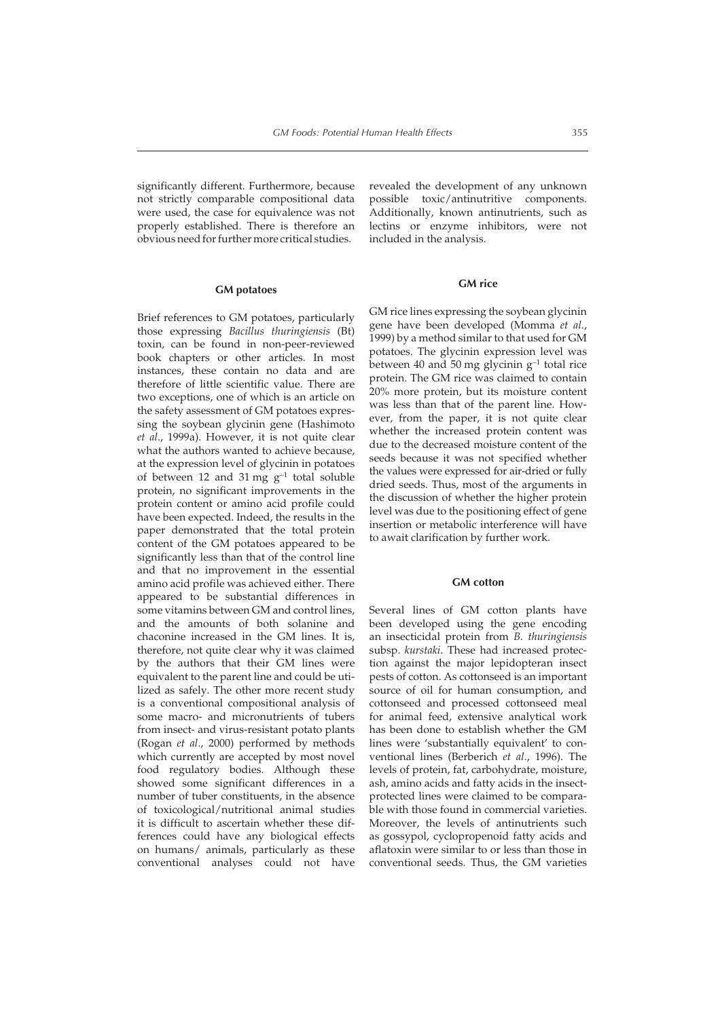significantly different. Furthermore, because not strictly comparable compositional data were used, the case for equivalence was not properly established. There is therefore an obvious need for further more critical studies.

#### **GM potatoes**

Brief references to GM potatoes, particularly those expressing *Bacillus thuringiensis* (Bt) toxin, can be found in non-peer-reviewed book chapters or other articles. In most instances, these contain no data and are therefore of little scientific value. There are two exceptions, one of which is an article on the safety assessment of GM potatoes expressing the soybean glycinin gene (Hashimoto *et al*., 1999a). However, it is not quite clear what the authors wanted to achieve because, at the expression level of glycinin in potatoes of between 12 and 31 mg  $g^{-1}$  total soluble protein, no significant improvements in the protein content or amino acid profile could have been expected. Indeed, the results in the paper demonstrated that the total protein content of the GM potatoes appeared to be significantly less than that of the control line and that no improvement in the essential amino acid profile was achieved either. There appeared to be substantial differences in some vitamins between GM and control lines, and the amounts of both solanine and chaconine increased in the GM lines. It is, therefore, not quite clear why it was claimed by the authors that their GM lines were equivalent to the parent line and could be utilized as safely. The other more recent study is a conventional compositional analysis of some macro- and micronutrients of tubers from insect- and virus-resistant potato plants (Rogan *et al*., 2000) performed by methods which currently are accepted by most novel food regulatory bodies. Although these showed some significant differences in a number of tuber constituents, in the absence of toxicological/nutritional animal studies it is difficult to ascertain whether these differences could have any biological effects on humans/ animals, particularly as these conventional analyses could not have revealed the development of any unknown possible toxic/antinutritive components. Additionally, known antinutrients, such as lectins or enzyme inhibitors, were not included in the analysis.

# **GM rice**

GM rice lines expressing the soybean glycinin gene have been developed (Momma *et al*., 1999) by a method similar to that used for GM potatoes. The glycinin expression level was between 40 and 50 mg glycinin  $g^{-1}$  total rice protein. The GM rice was claimed to contain 20% more protein, but its moisture content was less than that of the parent line. However, from the paper, it is not quite clear whether the increased protein content was due to the decreased moisture content of the seeds because it was not specified whether the values were expressed for air-dried or fully dried seeds. Thus, most of the arguments in the discussion of whether the higher protein level was due to the positioning effect of gene insertion or metabolic interference will have to await clarification by further work.

## **GM cotton**

Several lines of GM cotton plants have been developed using the gene encoding an insecticidal protein from *B. thuringiensis* subsp. *kurstaki*. These had increased protection against the major lepidopteran insect pests of cotton. As cottonseed is an important source of oil for human consumption, and cottonseed and processed cottonseed meal for animal feed, extensive analytical work has been done to establish whether the GM lines were 'substantially equivalent' to conventional lines (Berberich *et al*., 1996). The levels of protein, fat, carbohydrate, moisture, ash, amino acids and fatty acids in the insectprotected lines were claimed to be comparable with those found in commercial varieties. Moreover, the levels of antinutrients such as gossypol, cyclopropenoid fatty acids and aflatoxin were similar to or less than those in conventional seeds. Thus, the GM varieties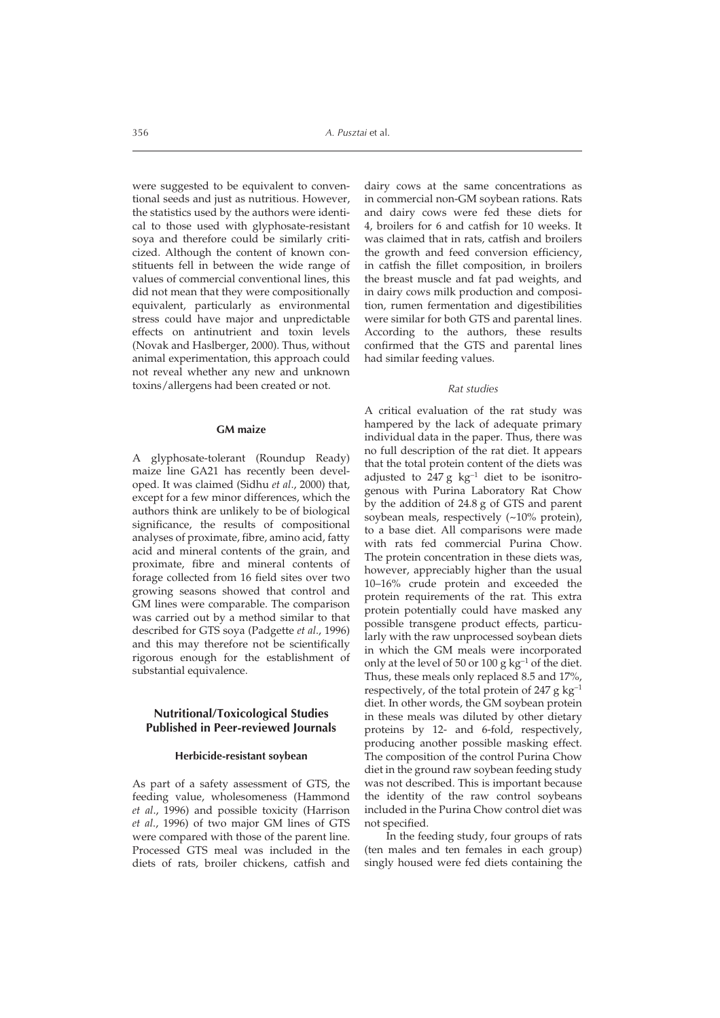were suggested to be equivalent to conventional seeds and just as nutritious. However, the statistics used by the authors were identical to those used with glyphosate-resistant soya and therefore could be similarly criticized. Although the content of known constituents fell in between the wide range of values of commercial conventional lines, this did not mean that they were compositionally equivalent, particularly as environmental stress could have major and unpredictable effects on antinutrient and toxin levels (Novak and Haslberger, 2000). Thus, without animal experimentation, this approach could not reveal whether any new and unknown toxins/allergens had been created or not.

#### **GM maize**

A glyphosate-tolerant (Roundup Ready) maize line GA21 has recently been developed. It was claimed (Sidhu *et al*., 2000) that, except for a few minor differences, which the authors think are unlikely to be of biological significance, the results of compositional analyses of proximate, fibre, amino acid, fatty acid and mineral contents of the grain, and proximate, fibre and mineral contents of forage collected from 16 field sites over two growing seasons showed that control and GM lines were comparable. The comparison was carried out by a method similar to that described for GTS soya (Padgette *et al*., 1996) and this may therefore not be scientifically rigorous enough for the establishment of substantial equivalence.

# **Nutritional/Toxicological Studies Published in Peer-reviewed Journals**

#### **Herbicide-resistant soybean**

As part of a safety assessment of GTS, the feeding value, wholesomeness (Hammond *et al*., 1996) and possible toxicity (Harrison *et al*., 1996) of two major GM lines of GTS were compared with those of the parent line. Processed GTS meal was included in the diets of rats, broiler chickens, catfish and

dairy cows at the same concentrations as in commercial non-GM soybean rations. Rats and dairy cows were fed these diets for 4, broilers for 6 and catfish for 10 weeks. It was claimed that in rats, catfish and broilers the growth and feed conversion efficiency, in catfish the fillet composition, in broilers the breast muscle and fat pad weights, and in dairy cows milk production and composition, rumen fermentation and digestibilities were similar for both GTS and parental lines. According to the authors, these results confirmed that the GTS and parental lines had similar feeding values.

#### *Rat studies*

A critical evaluation of the rat study was hampered by the lack of adequate primary individual data in the paper. Thus, there was no full description of the rat diet. It appears that the total protein content of the diets was adjusted to 247 g  $kg^{-1}$  diet to be isonitrogenous with Purina Laboratory Rat Chow by the addition of 24.8 g of GTS and parent soybean meals, respectively (~10% protein), to a base diet. All comparisons were made with rats fed commercial Purina Chow. The protein concentration in these diets was, however, appreciably higher than the usual 10–16% crude protein and exceeded the protein requirements of the rat. This extra protein potentially could have masked any possible transgene product effects, particularly with the raw unprocessed soybean diets in which the GM meals were incorporated only at the level of 50 or 100 g  $kg^{-1}$  of the diet. Thus, these meals only replaced 8.5 and 17%, respectively, of the total protein of 247 g  $kg^{-1}$ diet. In other words, the GM soybean protein in these meals was diluted by other dietary proteins by 12- and 6-fold, respectively, producing another possible masking effect. The composition of the control Purina Chow diet in the ground raw soybean feeding study was not described. This is important because the identity of the raw control soybeans included in the Purina Chow control diet was not specified.

In the feeding study, four groups of rats (ten males and ten females in each group) singly housed were fed diets containing the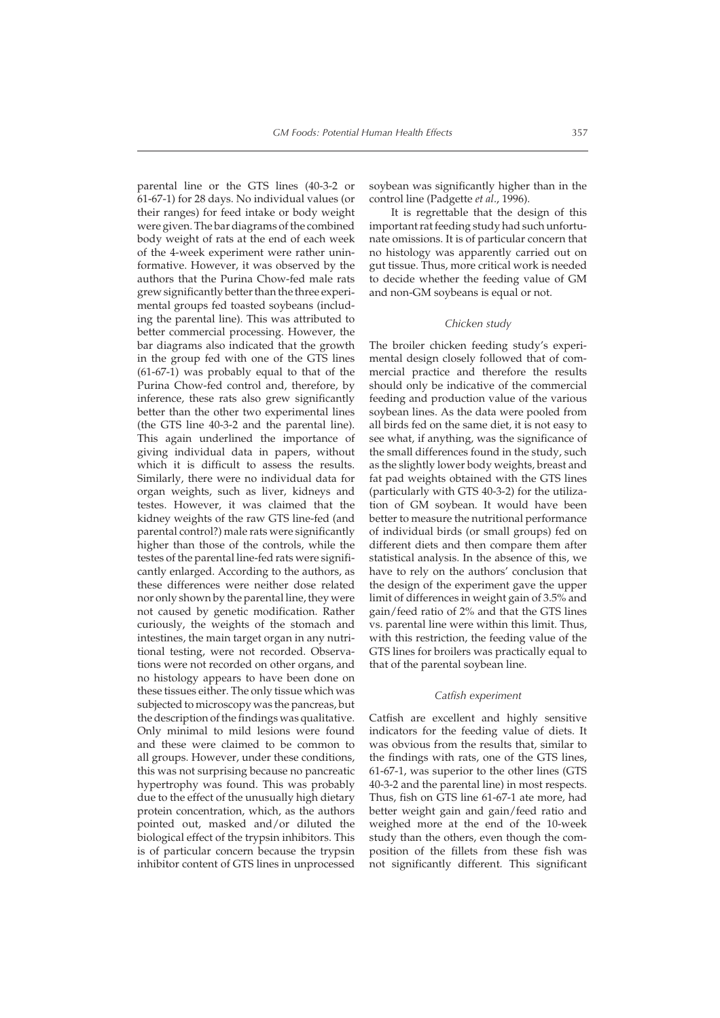parental line or the GTS lines (40-3-2 or 61-67-1) for 28 days. No individual values (or their ranges) for feed intake or body weight were given. The bar diagrams of the combined body weight of rats at the end of each week of the 4-week experiment were rather uninformative. However, it was observed by the authors that the Purina Chow-fed male rats grew significantly better than the three experimental groups fed toasted soybeans (including the parental line). This was attributed to better commercial processing. However, the bar diagrams also indicated that the growth in the group fed with one of the GTS lines (61-67-1) was probably equal to that of the Purina Chow-fed control and, therefore, by inference, these rats also grew significantly better than the other two experimental lines (the GTS line 40-3-2 and the parental line). This again underlined the importance of giving individual data in papers, without which it is difficult to assess the results. Similarly, there were no individual data for organ weights, such as liver, kidneys and testes. However, it was claimed that the kidney weights of the raw GTS line-fed (and parental control?) male rats were significantly higher than those of the controls, while the testes of the parental line-fed rats were significantly enlarged. According to the authors, as these differences were neither dose related nor only shown by the parental line, they were not caused by genetic modification. Rather curiously, the weights of the stomach and intestines, the main target organ in any nutritional testing, were not recorded. Observations were not recorded on other organs, and no histology appears to have been done on these tissues either. The only tissue which was subjected to microscopy was the pancreas, but the description of the findings was qualitative. Only minimal to mild lesions were found and these were claimed to be common to all groups. However, under these conditions, this was not surprising because no pancreatic hypertrophy was found. This was probably due to the effect of the unusually high dietary protein concentration, which, as the authors pointed out, masked and/or diluted the biological effect of the trypsin inhibitors. This is of particular concern because the trypsin inhibitor content of GTS lines in unprocessed soybean was significantly higher than in the control line (Padgette *et al*., 1996).

It is regrettable that the design of this important rat feeding study had such unfortunate omissions. It is of particular concern that no histology was apparently carried out on gut tissue. Thus, more critical work is needed to decide whether the feeding value of GM and non-GM soybeans is equal or not.

#### *Chicken study*

The broiler chicken feeding study's experimental design closely followed that of commercial practice and therefore the results should only be indicative of the commercial feeding and production value of the various soybean lines. As the data were pooled from all birds fed on the same diet, it is not easy to see what, if anything, was the significance of the small differences found in the study, such as the slightly lower body weights, breast and fat pad weights obtained with the GTS lines (particularly with GTS 40-3-2) for the utilization of GM soybean. It would have been better to measure the nutritional performance of individual birds (or small groups) fed on different diets and then compare them after statistical analysis. In the absence of this, we have to rely on the authors' conclusion that the design of the experiment gave the upper limit of differences in weight gain of 3.5% and gain/feed ratio of 2% and that the GTS lines vs. parental line were within this limit. Thus, with this restriction, the feeding value of the GTS lines for broilers was practically equal to that of the parental soybean line.

#### *Catfish experiment*

Catfish are excellent and highly sensitive indicators for the feeding value of diets. It was obvious from the results that, similar to the findings with rats, one of the GTS lines, 61-67-1, was superior to the other lines (GTS 40-3-2 and the parental line) in most respects. Thus, fish on GTS line 61-67-1 ate more, had better weight gain and gain/feed ratio and weighed more at the end of the 10-week study than the others, even though the composition of the fillets from these fish was not significantly different. This significant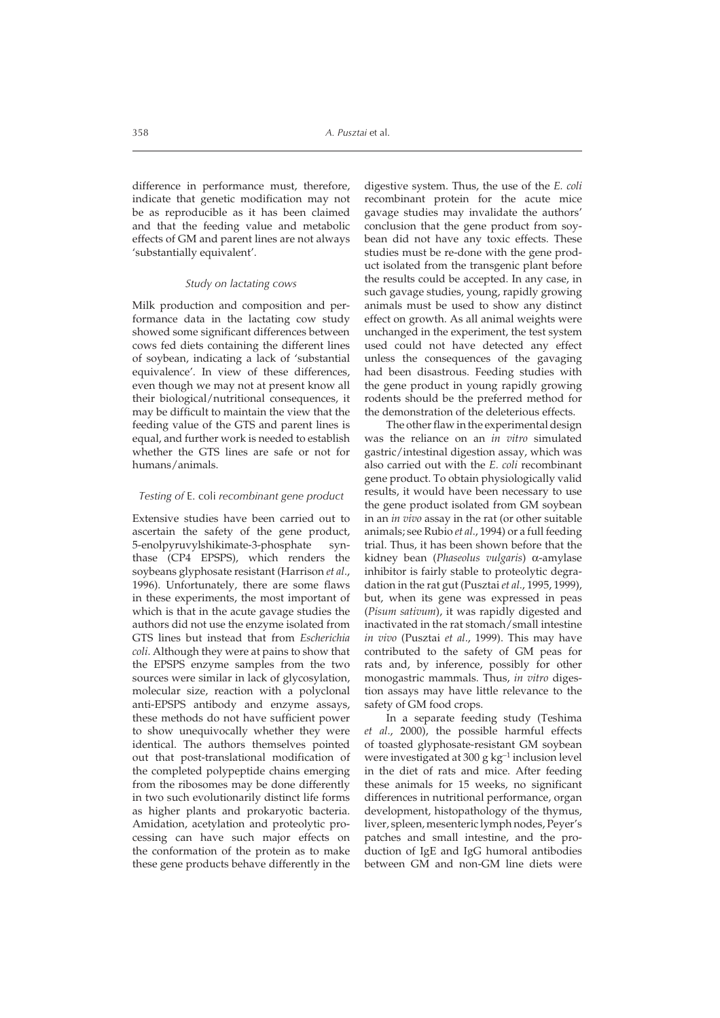difference in performance must, therefore, indicate that genetic modification may not be as reproducible as it has been claimed and that the feeding value and metabolic effects of GM and parent lines are not always 'substantially equivalent'.

## *Study on lactating cows*

Milk production and composition and performance data in the lactating cow study showed some significant differences between cows fed diets containing the different lines of soybean, indicating a lack of 'substantial equivalence'. In view of these differences, even though we may not at present know all their biological/nutritional consequences, it may be difficult to maintain the view that the feeding value of the GTS and parent lines is equal, and further work is needed to establish whether the GTS lines are safe or not for humans/animals.

#### *Testing of* E. coli *recombinant gene product*

Extensive studies have been carried out to ascertain the safety of the gene product, 5-enolpyruvylshikimate-3-phosphate synthase (CP4 EPSPS), which renders the soybeans glyphosate resistant (Harrison *et al*., 1996). Unfortunately, there are some flaws in these experiments, the most important of which is that in the acute gavage studies the authors did not use the enzyme isolated from GTS lines but instead that from *Escherichia coli*. Although they were at pains to show that the EPSPS enzyme samples from the two sources were similar in lack of glycosylation, molecular size, reaction with a polyclonal anti-EPSPS antibody and enzyme assays, these methods do not have sufficient power to show unequivocally whether they were identical. The authors themselves pointed out that post-translational modification of the completed polypeptide chains emerging from the ribosomes may be done differently in two such evolutionarily distinct life forms as higher plants and prokaryotic bacteria. Amidation, acetylation and proteolytic processing can have such major effects on the conformation of the protein as to make these gene products behave differently in the

digestive system. Thus, the use of the *E. coli* recombinant protein for the acute mice gavage studies may invalidate the authors' conclusion that the gene product from soybean did not have any toxic effects. These studies must be re-done with the gene product isolated from the transgenic plant before the results could be accepted. In any case, in such gavage studies, young, rapidly growing animals must be used to show any distinct effect on growth. As all animal weights were unchanged in the experiment, the test system used could not have detected any effect unless the consequences of the gavaging had been disastrous. Feeding studies with the gene product in young rapidly growing rodents should be the preferred method for the demonstration of the deleterious effects.

The other flaw in the experimental design was the reliance on an *in vitro* simulated gastric/intestinal digestion assay, which was also carried out with the *E. coli* recombinant gene product. To obtain physiologically valid results, it would have been necessary to use the gene product isolated from GM soybean in an *in vivo* assay in the rat (or other suitable animals; see Rubio *et al*., 1994) or a full feeding trial. Thus, it has been shown before that the kidney bean (*Phaseolus vulgaris*) α-amylase inhibitor is fairly stable to proteolytic degradation in the rat gut (Pusztai *et al*., 1995, 1999), but, when its gene was expressed in peas (*Pisum sativum*), it was rapidly digested and inactivated in the rat stomach/small intestine *in vivo* (Pusztai *et al*., 1999). This may have contributed to the safety of GM peas for rats and, by inference, possibly for other monogastric mammals. Thus, *in vitro* digestion assays may have little relevance to the safety of GM food crops.

In a separate feeding study (Teshima *et al*., 2000), the possible harmful effects of toasted glyphosate-resistant GM soybean were investigated at 300 g kg<sup>−</sup><sup>1</sup> inclusion level in the diet of rats and mice. After feeding these animals for 15 weeks, no significant differences in nutritional performance, organ development, histopathology of the thymus, liver, spleen, mesenteric lymph nodes, Peyer's patches and small intestine, and the production of IgE and IgG humoral antibodies between GM and non-GM line diets were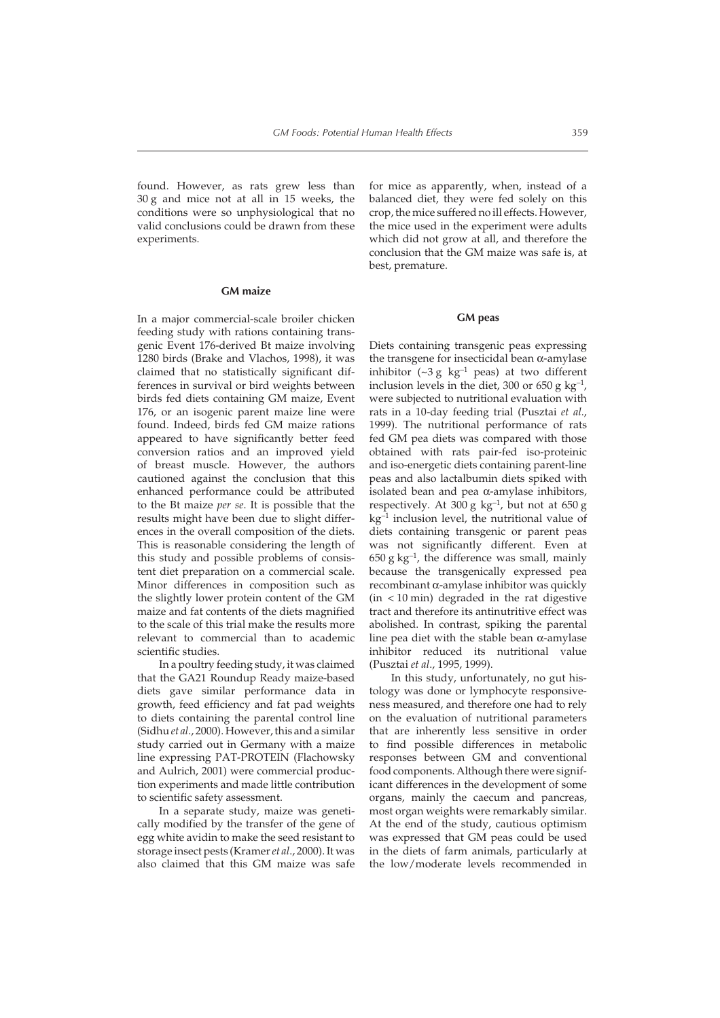found. However, as rats grew less than 30 g and mice not at all in 15 weeks, the conditions were so unphysiological that no valid conclusions could be drawn from these experiments.

## **GM maize**

In a major commercial-scale broiler chicken feeding study with rations containing transgenic Event 176-derived Bt maize involving 1280 birds (Brake and Vlachos, 1998), it was claimed that no statistically significant differences in survival or bird weights between birds fed diets containing GM maize, Event 176, or an isogenic parent maize line were found. Indeed, birds fed GM maize rations appeared to have significantly better feed conversion ratios and an improved yield of breast muscle. However, the authors cautioned against the conclusion that this enhanced performance could be attributed to the Bt maize *per se*. It is possible that the results might have been due to slight differences in the overall composition of the diets. This is reasonable considering the length of this study and possible problems of consistent diet preparation on a commercial scale. Minor differences in composition such as the slightly lower protein content of the GM maize and fat contents of the diets magnified to the scale of this trial make the results more relevant to commercial than to academic scientific studies.

In a poultry feeding study, it was claimed that the GA21 Roundup Ready maize-based diets gave similar performance data in growth, feed efficiency and fat pad weights to diets containing the parental control line (Sidhu *et al*., 2000). However, this and a similar study carried out in Germany with a maize line expressing PAT-PROTEIN (Flachowsky and Aulrich, 2001) were commercial production experiments and made little contribution to scientific safety assessment.

In a separate study, maize was genetically modified by the transfer of the gene of egg white avidin to make the seed resistant to storage insect pests (Kramer*et al*., 2000). It was also claimed that this GM maize was safe for mice as apparently, when, instead of a balanced diet, they were fed solely on this crop, the mice suffered no ill effects. However, the mice used in the experiment were adults which did not grow at all, and therefore the conclusion that the GM maize was safe is, at best, premature.

#### **GM peas**

Diets containing transgenic peas expressing the transgene for insecticidal bean α-amylase inhibitor (~3 g kg<sup>−</sup><sup>1</sup> peas) at two different inclusion levels in the diet, 300 or 650 g kg<sup>-1</sup>, were subjected to nutritional evaluation with rats in a 10-day feeding trial (Pusztai *et al*., 1999). The nutritional performance of rats fed GM pea diets was compared with those obtained with rats pair-fed iso-proteinic and iso-energetic diets containing parent-line peas and also lactalbumin diets spiked with isolated bean and pea  $α$ -amylase inhibitors, respectively. At 300 g kg<sup>-1</sup>, but not at 650 g kg<sup>−</sup><sup>1</sup> inclusion level, the nutritional value of diets containing transgenic or parent peas was not significantly different. Even at 650 g kg<sup>-1</sup>, the difference was small, mainly because the transgenically expressed pea recombinant α-amylase inhibitor was quickly (in < 10 min) degraded in the rat digestive tract and therefore its antinutritive effect was abolished. In contrast, spiking the parental line pea diet with the stable bean  $\alpha$ -amylase inhibitor reduced its nutritional value (Pusztai *et al*., 1995, 1999).

In this study, unfortunately, no gut histology was done or lymphocyte responsiveness measured, and therefore one had to rely on the evaluation of nutritional parameters that are inherently less sensitive in order to find possible differences in metabolic responses between GM and conventional food components. Although there were significant differences in the development of some organs, mainly the caecum and pancreas, most organ weights were remarkably similar. At the end of the study, cautious optimism was expressed that GM peas could be used in the diets of farm animals, particularly at the low/moderate levels recommended in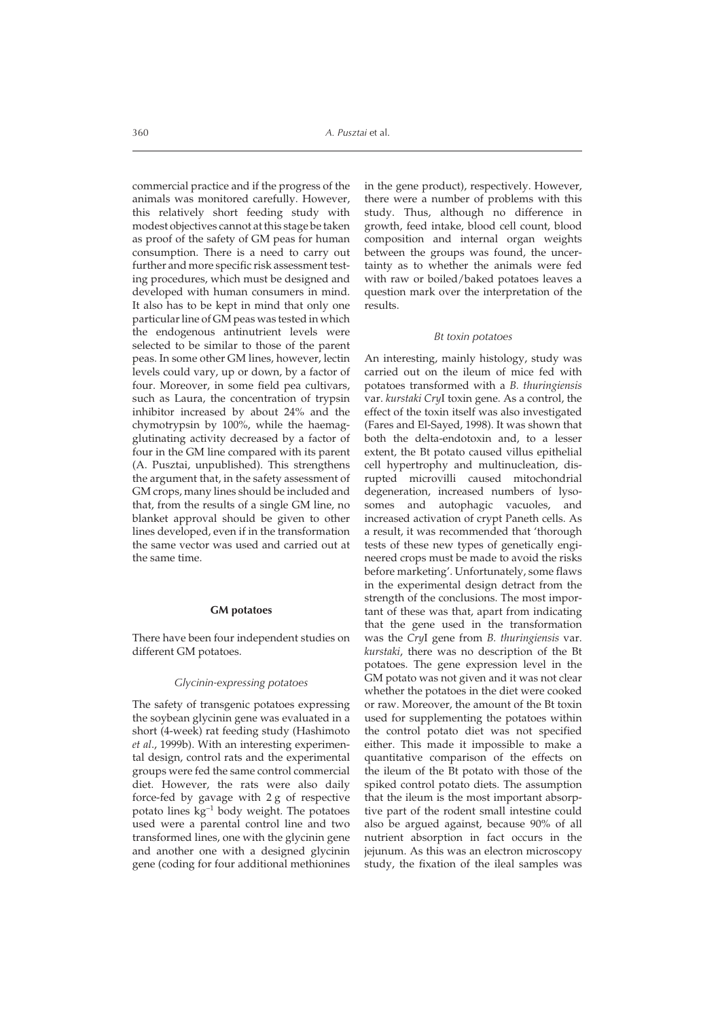commercial practice and if the progress of the animals was monitored carefully. However, this relatively short feeding study with modest objectives cannot at this stage be taken as proof of the safety of GM peas for human consumption. There is a need to carry out further and more specific risk assessment testing procedures, which must be designed and developed with human consumers in mind. It also has to be kept in mind that only one particular line of GM peas was tested in which the endogenous antinutrient levels were selected to be similar to those of the parent peas. In some other GM lines, however, lectin levels could vary, up or down, by a factor of four. Moreover, in some field pea cultivars, such as Laura, the concentration of trypsin inhibitor increased by about 24% and the chymotrypsin by 100%, while the haemagglutinating activity decreased by a factor of four in the GM line compared with its parent (A. Pusztai, unpublished). This strengthens the argument that, in the safety assessment of GM crops, many lines should be included and that, from the results of a single GM line, no blanket approval should be given to other lines developed, even if in the transformation the same vector was used and carried out at the same time.

## **GM potatoes**

There have been four independent studies on different GM potatoes.

## *Glycinin-expressing potatoes*

The safety of transgenic potatoes expressing the soybean glycinin gene was evaluated in a short (4-week) rat feeding study (Hashimoto *et al*., 1999b). With an interesting experimental design, control rats and the experimental groups were fed the same control commercial diet. However, the rats were also daily force-fed by gavage with 2 g of respective potato lines kg<sup>−</sup><sup>1</sup> body weight. The potatoes used were a parental control line and two transformed lines, one with the glycinin gene and another one with a designed glycinin gene (coding for four additional methionines

in the gene product), respectively. However, there were a number of problems with this study. Thus, although no difference in growth, feed intake, blood cell count, blood composition and internal organ weights between the groups was found, the uncertainty as to whether the animals were fed with raw or boiled/baked potatoes leaves a question mark over the interpretation of the results.

## *Bt toxin potatoes*

An interesting, mainly histology, study was carried out on the ileum of mice fed with potatoes transformed with a *B. thuringiensis* var. *kurstaki Cry*I toxin gene. As a control, the effect of the toxin itself was also investigated (Fares and El-Sayed, 1998). It was shown that both the delta-endotoxin and, to a lesser extent, the Bt potato caused villus epithelial cell hypertrophy and multinucleation, disrupted microvilli caused mitochondrial degeneration, increased numbers of lysosomes and autophagic vacuoles, and increased activation of crypt Paneth cells. As a result, it was recommended that 'thorough tests of these new types of genetically engineered crops must be made to avoid the risks before marketing'. Unfortunately, some flaws in the experimental design detract from the strength of the conclusions. The most important of these was that, apart from indicating that the gene used in the transformation was the *Cry*I gene from *B. thuringiensis* var. *kurstaki*, there was no description of the Bt potatoes. The gene expression level in the GM potato was not given and it was not clear whether the potatoes in the diet were cooked or raw. Moreover, the amount of the Bt toxin used for supplementing the potatoes within the control potato diet was not specified either. This made it impossible to make a quantitative comparison of the effects on the ileum of the Bt potato with those of the spiked control potato diets. The assumption that the ileum is the most important absorptive part of the rodent small intestine could also be argued against, because 90% of all nutrient absorption in fact occurs in the jejunum. As this was an electron microscopy study, the fixation of the ileal samples was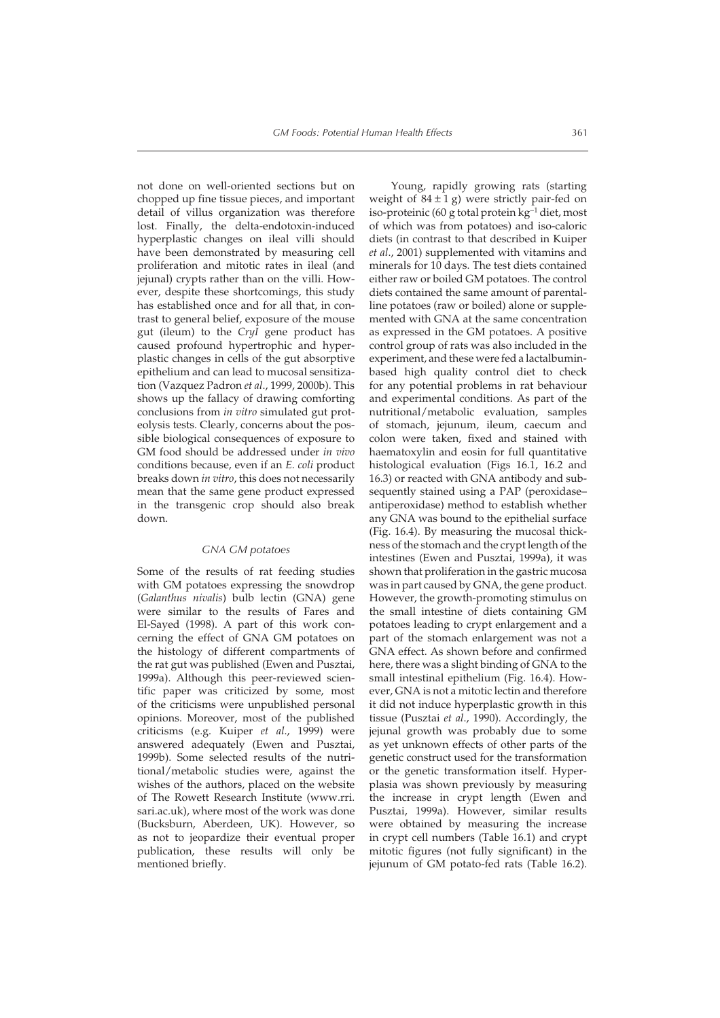not done on well-oriented sections but on chopped up fine tissue pieces, and important detail of villus organization was therefore lost. Finally, the delta-endotoxin-induced hyperplastic changes on ileal villi should have been demonstrated by measuring cell proliferation and mitotic rates in ileal (and jejunal) crypts rather than on the villi. However, despite these shortcomings, this study has established once and for all that, in contrast to general belief, exposure of the mouse gut (ileum) to the *CryI* gene product has caused profound hypertrophic and hyperplastic changes in cells of the gut absorptive epithelium and can lead to mucosal sensitization (Vazquez Padron *et al*., 1999, 2000b). This shows up the fallacy of drawing comforting conclusions from *in vitro* simulated gut proteolysis tests. Clearly, concerns about the possible biological consequences of exposure to GM food should be addressed under *in vivo* conditions because, even if an *E. coli* product breaks down *in vitro*, this does not necessarily mean that the same gene product expressed in the transgenic crop should also break down.

# *GNA GM potatoes*

Some of the results of rat feeding studies with GM potatoes expressing the snowdrop (*Galanthus nivalis*) bulb lectin (GNA) gene were similar to the results of Fares and El-Sayed (1998). A part of this work concerning the effect of GNA GM potatoes on the histology of different compartments of the rat gut was published (Ewen and Pusztai, 1999a). Although this peer-reviewed scientific paper was criticized by some, most of the criticisms were unpublished personal opinions. Moreover, most of the published criticisms (e.g. Kuiper *et al*., 1999) were answered adequately (Ewen and Pusztai, 1999b). Some selected results of the nutritional/metabolic studies were, against the wishes of the authors, placed on the website of The Rowett Research Institute (www.rri. sari.ac.uk), where most of the work was done (Bucksburn, Aberdeen, UK). However, so as not to jeopardize their eventual proper publication, these results will only be mentioned briefly.

Young, rapidly growing rats (starting weight of  $84 \pm 1$  g) were strictly pair-fed on iso-proteinic (60 g total protein kg<sup>−</sup><sup>1</sup> diet, most of which was from potatoes) and iso-caloric diets (in contrast to that described in Kuiper *et al*., 2001) supplemented with vitamins and minerals for 10 days. The test diets contained either raw or boiled GM potatoes. The control diets contained the same amount of parentalline potatoes (raw or boiled) alone or supplemented with GNA at the same concentration as expressed in the GM potatoes. A positive control group of rats was also included in the experiment, and these were fed a lactalbuminbased high quality control diet to check for any potential problems in rat behaviour and experimental conditions. As part of the nutritional/metabolic evaluation, samples of stomach, jejunum, ileum, caecum and colon were taken, fixed and stained with haematoxylin and eosin for full quantitative histological evaluation (Figs 16.1, 16.2 and 16.3) or reacted with GNA antibody and subsequently stained using a PAP (peroxidase– antiperoxidase) method to establish whether any GNA was bound to the epithelial surface (Fig. 16.4). By measuring the mucosal thickness of the stomach and the crypt length of the intestines (Ewen and Pusztai, 1999a), it was shown that proliferation in the gastric mucosa was in part caused by GNA, the gene product. However, the growth-promoting stimulus on the small intestine of diets containing GM potatoes leading to crypt enlargement and a part of the stomach enlargement was not a GNA effect. As shown before and confirmed here, there was a slight binding of GNA to the small intestinal epithelium (Fig. 16.4). However, GNA is not a mitotic lectin and therefore it did not induce hyperplastic growth in this tissue (Pusztai *et al*., 1990). Accordingly, the jejunal growth was probably due to some as yet unknown effects of other parts of the genetic construct used for the transformation or the genetic transformation itself. Hyperplasia was shown previously by measuring the increase in crypt length (Ewen and Pusztai, 1999a). However, similar results were obtained by measuring the increase in crypt cell numbers (Table 16.1) and crypt mitotic figures (not fully significant) in the jejunum of GM potato-fed rats (Table 16.2).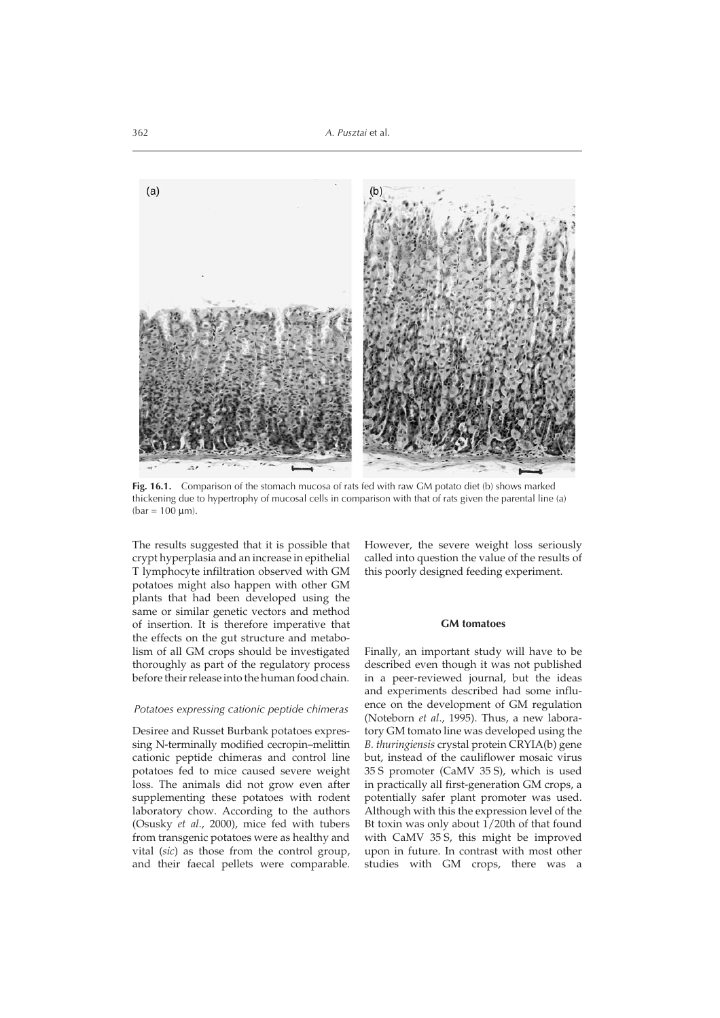

**Fig. 16.1.** Comparison of the stomach mucosa of rats fed with raw GM potato diet (b) shows marked thickening due to hypertrophy of mucosal cells in comparison with that of rats given the parental line (a)  $(bar = 100 \text{ µm}).$ 

The results suggested that it is possible that crypt hyperplasia and an increase in epithelial T lymphocyte infiltration observed with GM potatoes might also happen with other GM plants that had been developed using the same or similar genetic vectors and method of insertion. It is therefore imperative that the effects on the gut structure and metabolism of all GM crops should be investigated thoroughly as part of the regulatory process before their release into the human food chain.

## *Potatoes expressing cationic peptide chimeras*

Desiree and Russet Burbank potatoes expressing N-terminally modified cecropin–melittin cationic peptide chimeras and control line potatoes fed to mice caused severe weight loss. The animals did not grow even after supplementing these potatoes with rodent laboratory chow. According to the authors (Osusky *et al*., 2000), mice fed with tubers from transgenic potatoes were as healthy and vital (*sic*) as those from the control group, and their faecal pellets were comparable.

However, the severe weight loss seriously called into question the value of the results of this poorly designed feeding experiment.

#### **GM tomatoes**

Finally, an important study will have to be described even though it was not published in a peer-reviewed journal, but the ideas and experiments described had some influence on the development of GM regulation (Noteborn *et al*., 1995). Thus, a new laboratory GM tomato line was developed using the *B. thuringiensis* crystal protein CRYIA(b) gene but, instead of the cauliflower mosaic virus 35 S promoter (CaMV 35 S), which is used in practically all first-generation GM crops, a potentially safer plant promoter was used. Although with this the expression level of the Bt toxin was only about 1/20th of that found with CaMV 35 S, this might be improved upon in future. In contrast with most other studies with GM crops, there was a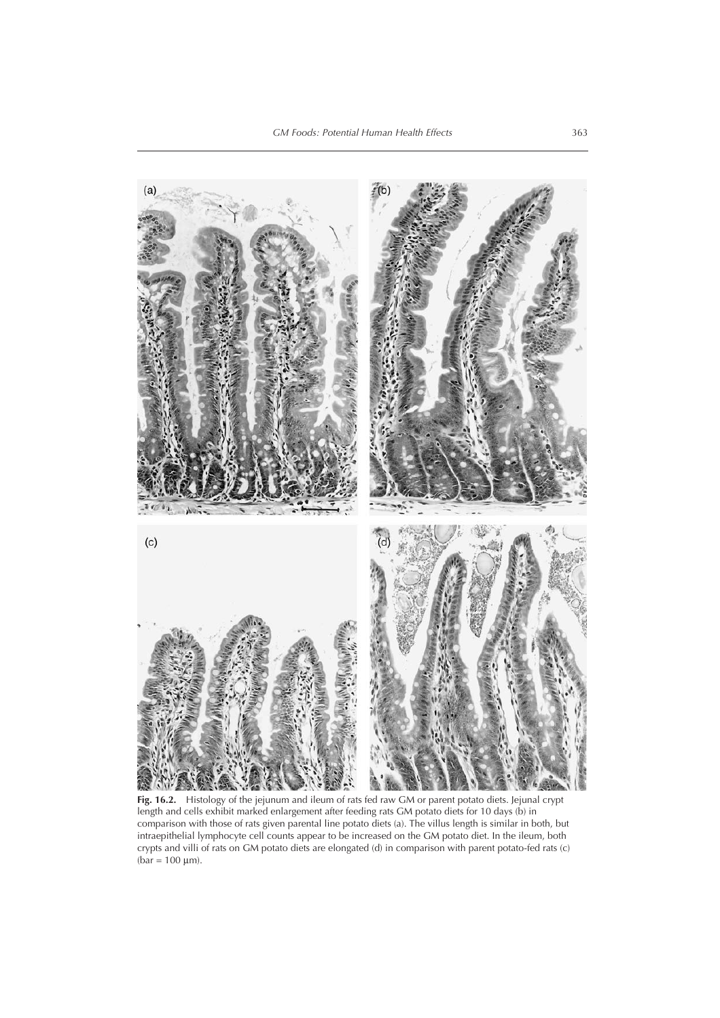

**Fig. 16.2.** Histology of the jejunum and ileum of rats fed raw GM or parent potato diets. Jejunal crypt length and cells exhibit marked enlargement after feeding rats GM potato diets for 10 days (b) in comparison with those of rats given parental line potato diets (a). The villus length is similar in both, but intraepithelial lymphocyte cell counts appear to be increased on the GM potato diet. In the ileum, both crypts and villi of rats on GM potato diets are elongated (d) in comparison with parent potato-fed rats (c)  $(bar = 100 \mu m)$ .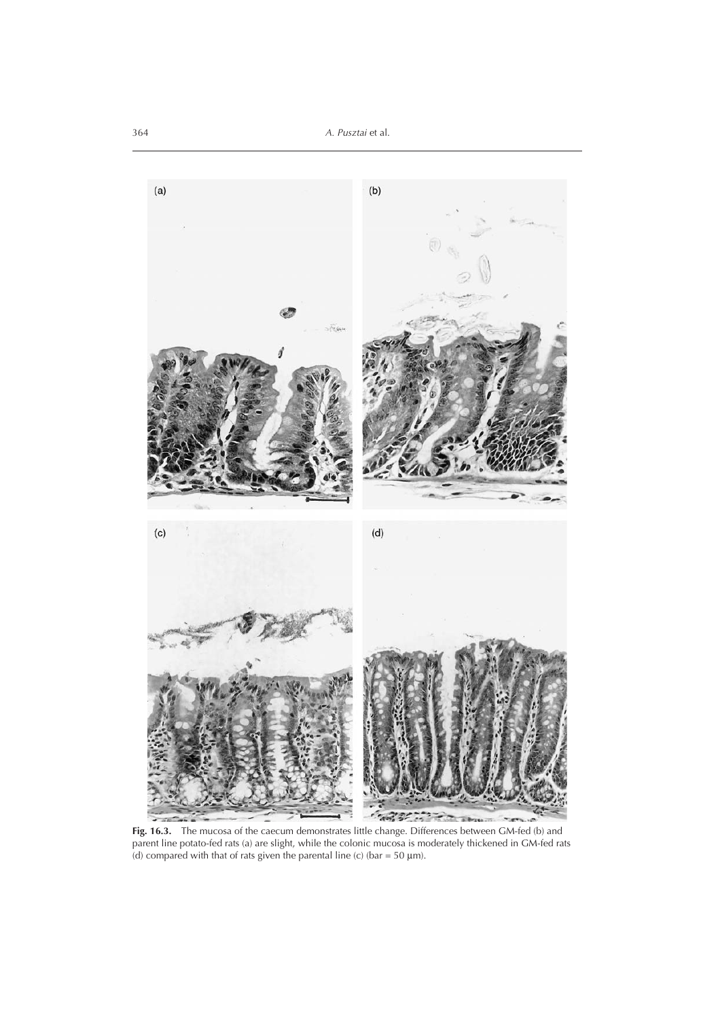

**Fig. 16.3.** The mucosa of the caecum demonstrates little change. Differences between GM-fed (b) and parent line potato-fed rats (a) are slight, while the colonic mucosa is moderately thickened in GM-fed rats (d) compared with that of rats given the parental line (c) (bar = 50  $\mu$ m).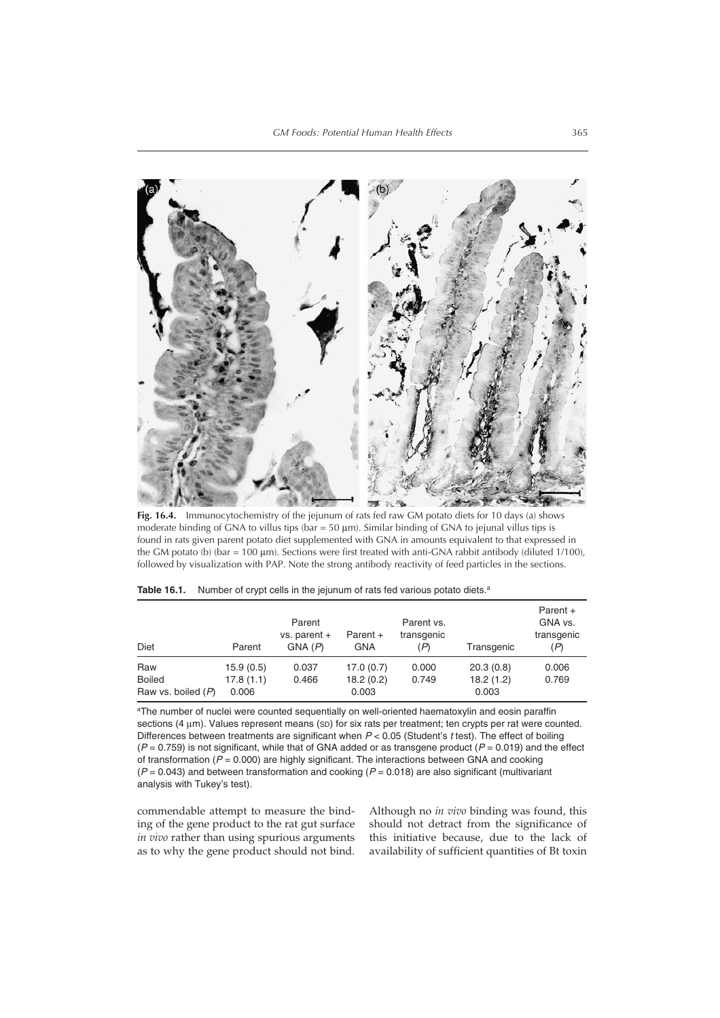

**Fig. 16.4.** Immunocytochemistry of the jejunum of rats fed raw GM potato diets for 10 days (a) shows moderate binding of GNA to villus tips (bar  $=$  50  $\mu$ m). Similar binding of GNA to jejunal villus tips is found in rats given parent potato diet supplemented with GNA in amounts equivalent to that expressed in the GM potato (b) (bar = 100 µm). Sections were first treated with anti-GNA rabbit antibody (diluted 1/100), followed by visualization with PAP. Note the strong antibody reactivity of feed particles in the sections.

| Diet                 | Parent    | Parent<br>$vs. parent +$<br>GNA(P) | Parent $+$<br>GNA | Parent vs.<br>transgenic<br>(P) | Transgenic | Parent +<br>GNA vs.<br>transgenic<br>(P) |
|----------------------|-----------|------------------------------------|-------------------|---------------------------------|------------|------------------------------------------|
| Raw                  | 15.9(0.5) | 0.037                              | 17.0(0.7)         | 0.000                           | 20.3(0.8)  | 0.006                                    |
| <b>Boiled</b>        | 17.8(1.1) | 0.466                              | 18.2(0.2)         | 0.749                           | 18.2(1.2)  | 0.769                                    |
| Raw vs. boiled $(P)$ | 0.006     |                                    | 0.003             |                                 | 0.003      |                                          |

|  | Table 16.1. Number of crypt cells in the jejunum of rats fed various potato diets. <sup>a</sup> |  |  |  |  |
|--|-------------------------------------------------------------------------------------------------|--|--|--|--|
|--|-------------------------------------------------------------------------------------------------|--|--|--|--|

<sup>a</sup>The number of nuclei were counted sequentially on well-oriented haematoxylin and eosin paraffin sections (4 µm). Values represent means (SD) for six rats per treatment; ten crypts per rat were counted. Differences between treatments are significant when  $P < 0.05$  (Student's t test). The effect of boiling  $(P = 0.759)$  is not significant, while that of GNA added or as transgene product  $(P = 0.019)$  and the effect of transformation ( $P = 0.000$ ) are highly significant. The interactions between GNA and cooking  $(P = 0.043)$  and between transformation and cooking  $(P = 0.018)$  are also significant (multivariant analysis with Tukey's test).

commendable attempt to measure the binding of the gene product to the rat gut surface *in vivo* rather than using spurious arguments as to why the gene product should not bind. Although no *in vivo* binding was found, this should not detract from the significance of this initiative because, due to the lack of availability of sufficient quantities of Bt toxin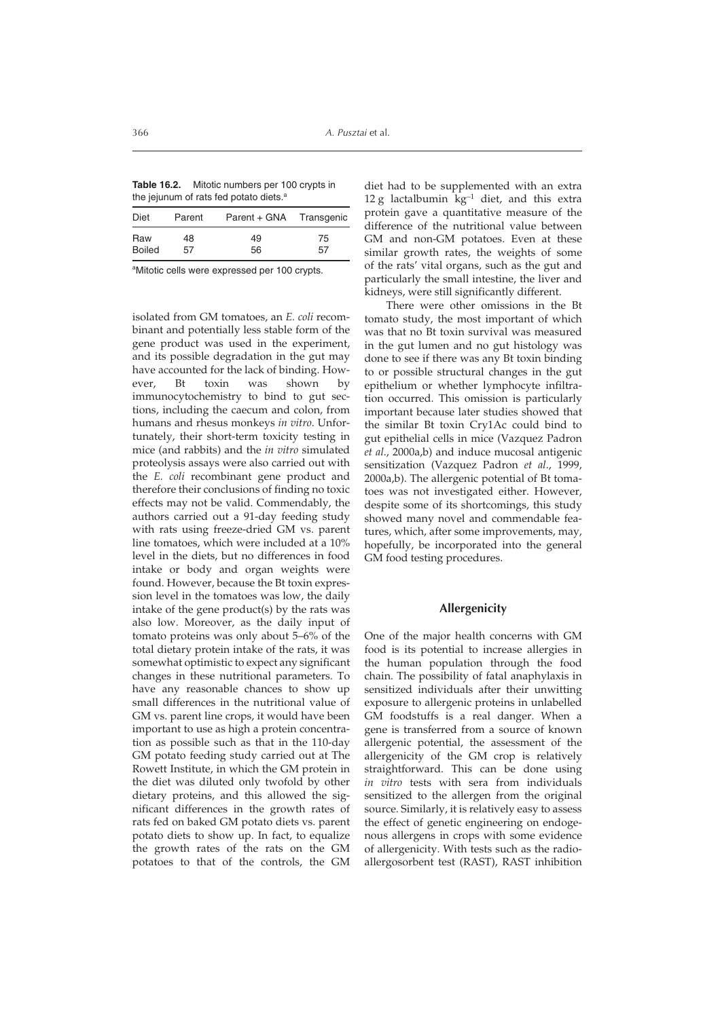| 75 |
|----|
|    |

**Table 16.2.** Mitotic numbers per 100 crypts in the jejunum of rats fed potato diets.<sup>a</sup>

a Mitotic cells were expressed per 100 crypts.

isolated from GM tomatoes, an *E. coli* recombinant and potentially less stable form of the gene product was used in the experiment, and its possible degradation in the gut may have accounted for the lack of binding. However, Bt toxin was shown by immunocytochemistry to bind to gut sections, including the caecum and colon, from humans and rhesus monkeys *in vitro*. Unfortunately, their short-term toxicity testing in mice (and rabbits) and the *in vitro* simulated proteolysis assays were also carried out with the *E. coli* recombinant gene product and therefore their conclusions of finding no toxic effects may not be valid. Commendably, the authors carried out a 91-day feeding study with rats using freeze-dried GM vs. parent line tomatoes, which were included at a 10% level in the diets, but no differences in food intake or body and organ weights were found. However, because the Bt toxin expression level in the tomatoes was low, the daily intake of the gene product(s) by the rats was also low. Moreover, as the daily input of tomato proteins was only about 5–6% of the total dietary protein intake of the rats, it was somewhat optimistic to expect any significant changes in these nutritional parameters. To have any reasonable chances to show up small differences in the nutritional value of GM vs. parent line crops, it would have been important to use as high a protein concentration as possible such as that in the 110-day GM potato feeding study carried out at The Rowett Institute, in which the GM protein in the diet was diluted only twofold by other dietary proteins, and this allowed the significant differences in the growth rates of rats fed on baked GM potato diets vs. parent potato diets to show up. In fact, to equalize the growth rates of the rats on the GM potatoes to that of the controls, the GM

diet had to be supplemented with an extra 12 g lactalbumin  $kg^{-1}$  diet, and this extra protein gave a quantitative measure of the difference of the nutritional value between GM and non-GM potatoes. Even at these similar growth rates, the weights of some of the rats' vital organs, such as the gut and particularly the small intestine, the liver and kidneys, were still significantly different.

There were other omissions in the Bt tomato study, the most important of which was that no Bt toxin survival was measured in the gut lumen and no gut histology was done to see if there was any Bt toxin binding to or possible structural changes in the gut epithelium or whether lymphocyte infiltration occurred. This omission is particularly important because later studies showed that the similar Bt toxin Cry1Ac could bind to gut epithelial cells in mice (Vazquez Padron *et al*., 2000a,b) and induce mucosal antigenic sensitization (Vazquez Padron *et al*., 1999, 2000a,b). The allergenic potential of Bt tomatoes was not investigated either. However, despite some of its shortcomings, this study showed many novel and commendable features, which, after some improvements, may, hopefully, be incorporated into the general GM food testing procedures.

# **Allergenicity**

One of the major health concerns with GM food is its potential to increase allergies in the human population through the food chain. The possibility of fatal anaphylaxis in sensitized individuals after their unwitting exposure to allergenic proteins in unlabelled GM foodstuffs is a real danger. When a gene is transferred from a source of known allergenic potential, the assessment of the allergenicity of the GM crop is relatively straightforward. This can be done using *in vitro* tests with sera from individuals sensitized to the allergen from the original source. Similarly, it is relatively easy to assess the effect of genetic engineering on endogenous allergens in crops with some evidence of allergenicity. With tests such as the radioallergosorbent test (RAST), RAST inhibition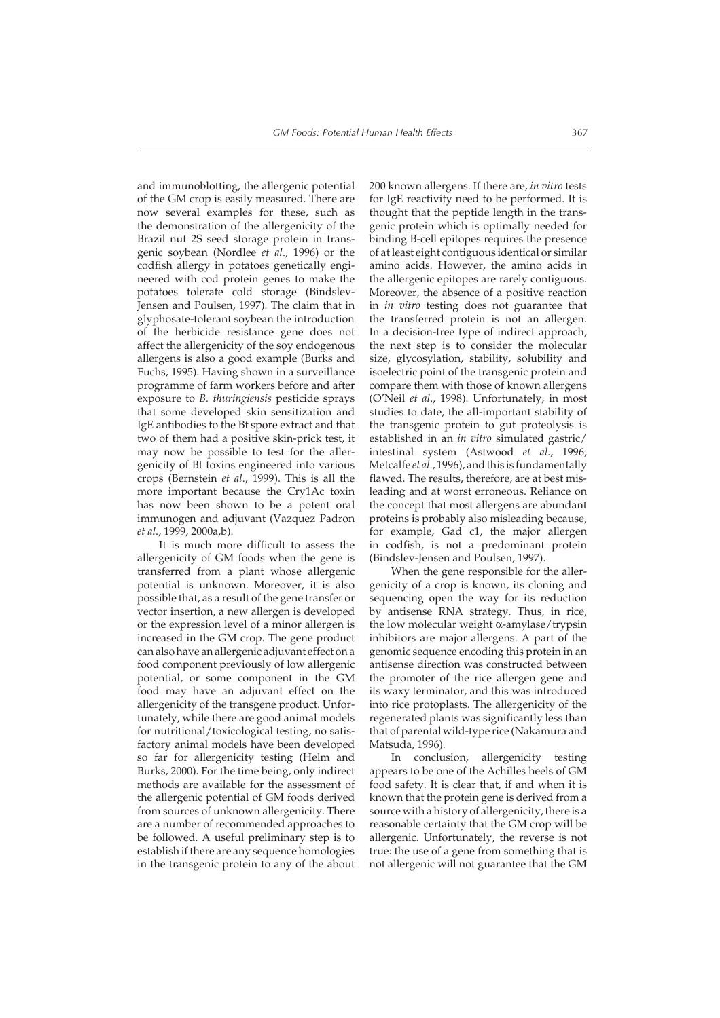and immunoblotting, the allergenic potential of the GM crop is easily measured. There are now several examples for these, such as the demonstration of the allergenicity of the Brazil nut 2S seed storage protein in transgenic soybean (Nordlee *et al*., 1996) or the codfish allergy in potatoes genetically engineered with cod protein genes to make the potatoes tolerate cold storage (Bindslev-Jensen and Poulsen, 1997). The claim that in glyphosate-tolerant soybean the introduction of the herbicide resistance gene does not affect the allergenicity of the soy endogenous allergens is also a good example (Burks and Fuchs, 1995). Having shown in a surveillance programme of farm workers before and after exposure to *B. thuringiensis* pesticide sprays that some developed skin sensitization and IgE antibodies to the Bt spore extract and that two of them had a positive skin-prick test, it may now be possible to test for the allergenicity of Bt toxins engineered into various crops (Bernstein *et al*., 1999). This is all the

more important because the Cry1Ac toxin has now been shown to be a potent oral immunogen and adjuvant (Vazquez Padron *et al*., 1999, 2000a,b). It is much more difficult to assess the

allergenicity of GM foods when the gene is transferred from a plant whose allergenic potential is unknown. Moreover, it is also possible that, as a result of the gene transfer or vector insertion, a new allergen is developed or the expression level of a minor allergen is increased in the GM crop. The gene product can also have an allergenic adjuvant effect on a food component previously of low allergenic potential, or some component in the GM food may have an adjuvant effect on the allergenicity of the transgene product. Unfortunately, while there are good animal models for nutritional/toxicological testing, no satisfactory animal models have been developed so far for allergenicity testing (Helm and Burks, 2000). For the time being, only indirect methods are available for the assessment of the allergenic potential of GM foods derived from sources of unknown allergenicity. There are a number of recommended approaches to be followed. A useful preliminary step is to establish if there are any sequence homologies in the transgenic protein to any of the about 200 known allergens. If there are, *in vitro* tests for IgE reactivity need to be performed. It is thought that the peptide length in the transgenic protein which is optimally needed for binding B-cell epitopes requires the presence of at least eight contiguous identical or similar amino acids. However, the amino acids in the allergenic epitopes are rarely contiguous. Moreover, the absence of a positive reaction in *in vitro* testing does not guarantee that the transferred protein is not an allergen. In a decision-tree type of indirect approach, the next step is to consider the molecular size, glycosylation, stability, solubility and isoelectric point of the transgenic protein and compare them with those of known allergens (O'Neil *et al*., 1998). Unfortunately, in most studies to date, the all-important stability of the transgenic protein to gut proteolysis is established in an *in vitro* simulated gastric/ intestinal system (Astwood *et al*., 1996; Metcalfe *et al*., 1996), and this is fundamentally flawed. The results, therefore, are at best misleading and at worst erroneous. Reliance on the concept that most allergens are abundant proteins is probably also misleading because, for example, Gad c1, the major allergen in codfish, is not a predominant protein (Bindslev-Jensen and Poulsen, 1997).

When the gene responsible for the allergenicity of a crop is known, its cloning and sequencing open the way for its reduction by antisense RNA strategy. Thus, in rice, the low molecular weight α-amylase/trypsin inhibitors are major allergens. A part of the genomic sequence encoding this protein in an antisense direction was constructed between the promoter of the rice allergen gene and its waxy terminator, and this was introduced into rice protoplasts. The allergenicity of the regenerated plants was significantly less than that of parental wild-type rice (Nakamura and Matsuda, 1996).

In conclusion, allergenicity testing appears to be one of the Achilles heels of GM food safety. It is clear that, if and when it is known that the protein gene is derived from a source with a history of allergenicity, there is a reasonable certainty that the GM crop will be allergenic. Unfortunately, the reverse is not true: the use of a gene from something that is not allergenic will not guarantee that the GM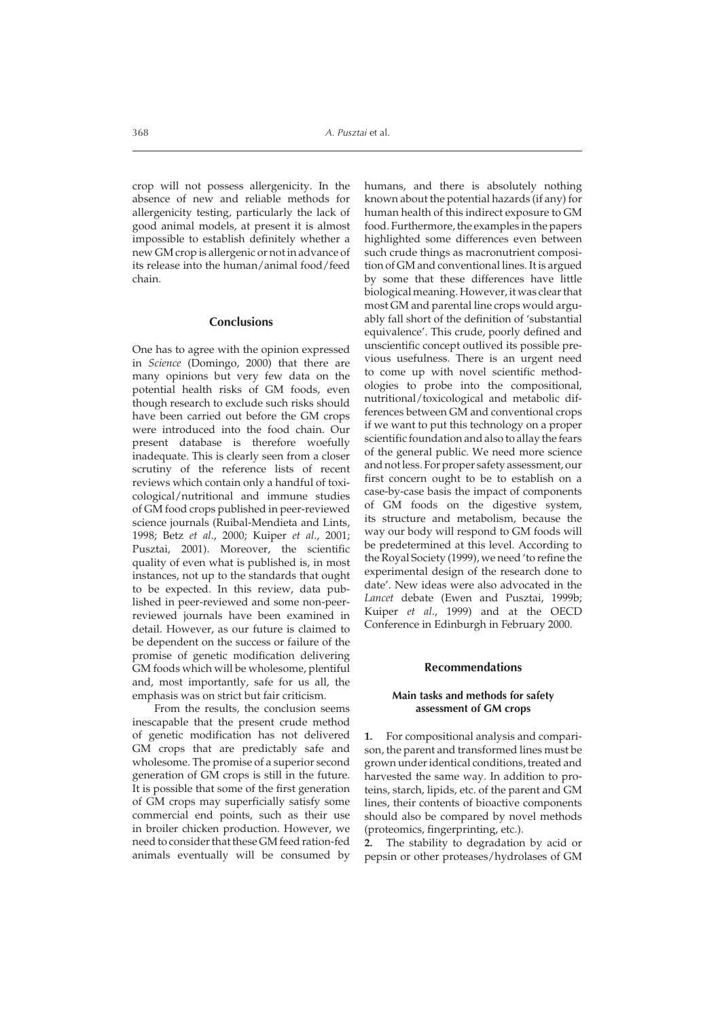crop will not possess allergenicity. In the absence of new and reliable methods for allergenicity testing, particularly the lack of good animal models, at present it is almost impossible to establish definitely whether a new GM crop is allergenic or not in advance of its release into the human/animal food/feed chain.

## **Conclusions**

One has to agree with the opinion expressed in *Science* (Domingo, 2000) that there are many opinions but very few data on the potential health risks of GM foods, even though research to exclude such risks should have been carried out before the GM crops were introduced into the food chain. Our present database is therefore woefully inadequate. This is clearly seen from a closer scrutiny of the reference lists of recent reviews which contain only a handful of toxicological/nutritional and immune studies of GM food crops published in peer-reviewed science journals (Ruibal-Mendieta and Lints, 1998; Betz *et al*., 2000; Kuiper *et al*., 2001; Pusztai, 2001). Moreover, the scientific quality of even what is published is, in most instances, not up to the standards that ought to be expected. In this review, data published in peer-reviewed and some non-peerreviewed journals have been examined in detail. However, as our future is claimed to be dependent on the success or failure of the promise of genetic modification delivering GM foods which will be wholesome, plentiful and, most importantly, safe for us all, the emphasis was on strict but fair criticism.

From the results, the conclusion seems inescapable that the present crude method of genetic modification has not delivered GM crops that are predictably safe and wholesome. The promise of a superior second generation of GM crops is still in the future. It is possible that some of the first generation of GM crops may superficially satisfy some commercial end points, such as their use in broiler chicken production. However, we need to consider that these GM feed ration-fed animals eventually will be consumed by

humans, and there is absolutely nothing known about the potential hazards (if any) for human health of this indirect exposure to GM food. Furthermore, the examples in the papers highlighted some differences even between such crude things as macronutrient composition of GM and conventional lines. It is argued by some that these differences have little biological meaning. However, it was clear that most GM and parental line crops would arguably fall short of the definition of 'substantial equivalence'. This crude, poorly defined and unscientific concept outlived its possible previous usefulness. There is an urgent need to come up with novel scientific methodologies to probe into the compositional, nutritional/toxicological and metabolic differences between GM and conventional crops if we want to put this technology on a proper scientific foundation and also to allay the fears of the general public. We need more science and not less. For proper safety assessment, our first concern ought to be to establish on a case-by-case basis the impact of components of GM foods on the digestive system, its structure and metabolism, because the way our body will respond to GM foods will be predetermined at this level. According to the Royal Society (1999), we need 'to refine the experimental design of the research done to date'. New ideas were also advocated in the *Lancet* debate (Ewen and Pusztai, 1999b; Kuiper *et al*., 1999) and at the OECD Conference in Edinburgh in February 2000.

#### **Recommendations**

# **Main tasks and methods for safety assessment of GM crops**

**1.** For compositional analysis and comparison, the parent and transformed lines must be grown under identical conditions, treated and harvested the same way. In addition to proteins, starch, lipids, etc. of the parent and GM lines, their contents of bioactive components should also be compared by novel methods (proteomics, fingerprinting, etc.).

**2.** The stability to degradation by acid or pepsin or other proteases/hydrolases of GM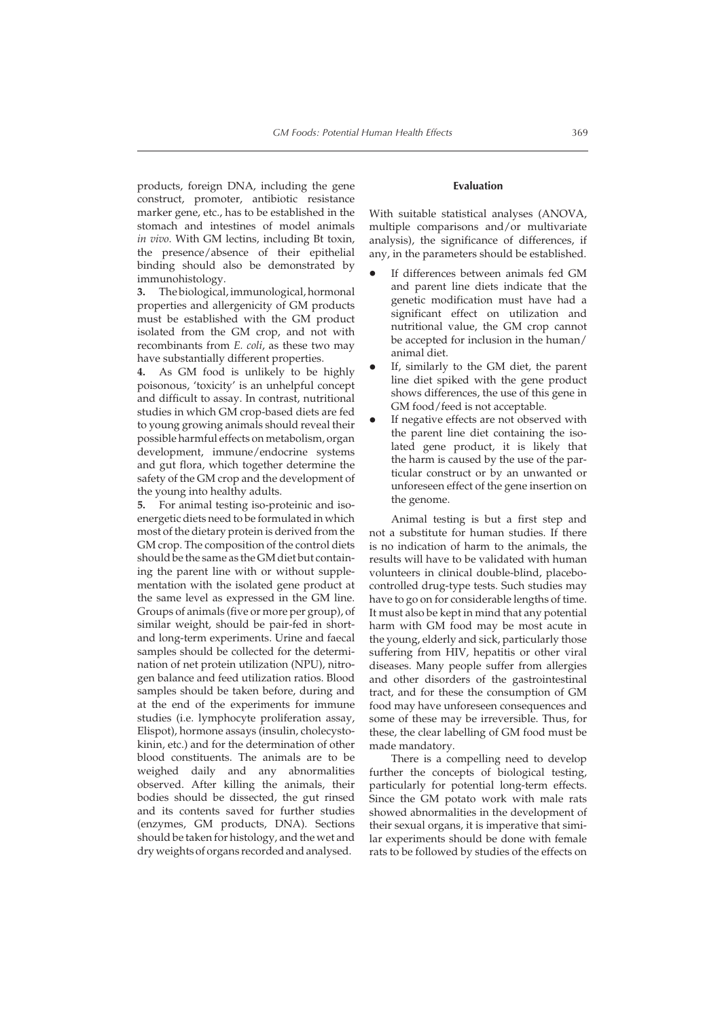products, foreign DNA, including the gene construct, promoter, antibiotic resistance marker gene, etc., has to be established in the stomach and intestines of model animals *in vivo*. With GM lectins, including Bt toxin, the presence/absence of their epithelial binding should also be demonstrated by immunohistology.

**3.** The biological, immunological, hormonal properties and allergenicity of GM products must be established with the GM product isolated from the GM crop, and not with recombinants from *E. coli*, as these two may have substantially different properties.

**4.** As GM food is unlikely to be highly poisonous, 'toxicity' is an unhelpful concept and difficult to assay. In contrast, nutritional studies in which GM crop-based diets are fed to young growing animals should reveal their possible harmful effects on metabolism, organ development, immune/endocrine systems and gut flora, which together determine the safety of the GM crop and the development of the young into healthy adults.

**5.** For animal testing iso-proteinic and isoenergetic diets need to be formulated in which most of the dietary protein is derived from the GM crop. The composition of the control diets should be the same as the GM diet but containing the parent line with or without supplementation with the isolated gene product at the same level as expressed in the GM line. Groups of animals (five or more per group), of similar weight, should be pair-fed in shortand long-term experiments. Urine and faecal samples should be collected for the determination of net protein utilization (NPU), nitrogen balance and feed utilization ratios. Blood samples should be taken before, during and at the end of the experiments for immune studies (i.e. lymphocyte proliferation assay, Elispot), hormone assays (insulin, cholecystokinin, etc.) and for the determination of other blood constituents. The animals are to be weighed daily and any abnormalities observed. After killing the animals, their bodies should be dissected, the gut rinsed and its contents saved for further studies (enzymes, GM products, DNA). Sections should be taken for histology, and the wet and dry weights of organs recorded and analysed.

# **Evaluation**

With suitable statistical analyses (ANOVA, multiple comparisons and/or multivariate analysis), the significance of differences, if any, in the parameters should be established.

- If differences between animals fed GM and parent line diets indicate that the genetic modification must have had a significant effect on utilization and nutritional value, the GM crop cannot be accepted for inclusion in the human/ animal diet.
- If, similarly to the GM diet, the parent line diet spiked with the gene product shows differences, the use of this gene in GM food/feed is not acceptable.
- If negative effects are not observed with the parent line diet containing the isolated gene product, it is likely that the harm is caused by the use of the particular construct or by an unwanted or unforeseen effect of the gene insertion on the genome.

Animal testing is but a first step and not a substitute for human studies. If there is no indication of harm to the animals, the results will have to be validated with human volunteers in clinical double-blind, placebocontrolled drug-type tests. Such studies may have to go on for considerable lengths of time. It must also be kept in mind that any potential harm with GM food may be most acute in the young, elderly and sick, particularly those suffering from HIV, hepatitis or other viral diseases. Many people suffer from allergies and other disorders of the gastrointestinal tract, and for these the consumption of GM food may have unforeseen consequences and some of these may be irreversible. Thus, for these, the clear labelling of GM food must be made mandatory.

There is a compelling need to develop further the concepts of biological testing, particularly for potential long-term effects. Since the GM potato work with male rats showed abnormalities in the development of their sexual organs, it is imperative that similar experiments should be done with female rats to be followed by studies of the effects on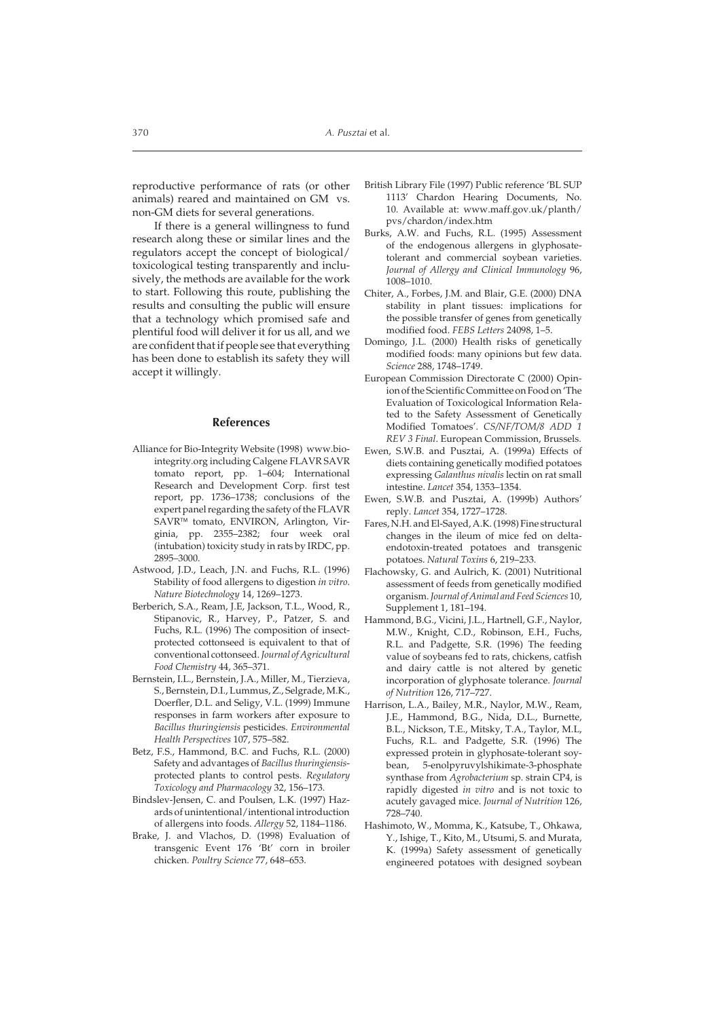reproductive performance of rats (or other animals) reared and maintained on GM vs. non-GM diets for several generations.

If there is a general willingness to fund research along these or similar lines and the regulators accept the concept of biological/ toxicological testing transparently and inclusively, the methods are available for the work to start. Following this route, publishing the results and consulting the public will ensure that a technology which promised safe and plentiful food will deliver it for us all, and we are confident that if people see that everything has been done to establish its safety they will accept it willingly.

# **References**

- Alliance for Bio-Integrity Website (1998) www.biointegrity.org including Calgene FLAVR SAVR tomato report, pp. 1–604; International Research and Development Corp. first test report, pp. 1736–1738; conclusions of the expert panel regarding the safety of the FLAVR SAVR™ tomato, ENVIRON, Arlington, Virginia, pp. 2355–2382; four week oral (intubation) toxicity study in rats by IRDC, pp. 2895–3000.
- Astwood, J.D., Leach, J.N. and Fuchs, R.L. (1996) Stability of food allergens to digestion *in vitro*. *Nature Biotechnology* 14, 1269–1273.
- Berberich, S.A., Ream, J.E, Jackson, T.L., Wood, R., Stipanovic, R., Harvey, P., Patzer, S. and Fuchs, R.L. (1996) The composition of insectprotected cottonseed is equivalent to that of conventional cottonseed.*Journal of Agricultural Food Chemistry* 44, 365–371.
- Bernstein, I.L., Bernstein, J.A., Miller, M., Tierzieva, S., Bernstein, D.I., Lummus, Z., Selgrade, M.K., Doerfler, D.L. and Seligy, V.L. (1999) Immune responses in farm workers after exposure to *Bacillus thuringiensis* pesticides. *Environmental Health Perspectives* 107, 575–582.
- Betz, F.S., Hammond, B.C. and Fuchs, R.L. (2000) Safety and advantages of *Bacillus thuringiensis*protected plants to control pests. *Regulatory Toxicology and Pharmacology* 32, 156–173.
- Bindslev-Jensen, C. and Poulsen, L.K. (1997) Hazards of unintentional/intentional introduction of allergens into foods. *Allergy* 52, 1184–1186.
- Brake, J. and Vlachos, D. (1998) Evaluation of transgenic Event 176 'Bt' corn in broiler chicken. *Poultry Science* 77, 648–653.
- British Library File (1997) Public reference 'BL SUP 1113' Chardon Hearing Documents, No. 10. Available at: www.maff.gov.uk/planth/ pvs/chardon/index.htm
- Burks, A.W. and Fuchs, R.L. (1995) Assessment of the endogenous allergens in glyphosatetolerant and commercial soybean varieties. *Journal of Allergy and Clinical Immunology* 96, 1008–1010.
- Chiter, A., Forbes, J.M. and Blair, G.E. (2000) DNA stability in plant tissues: implications for the possible transfer of genes from genetically modified food. *FEBS Letters* 24098, 1–5.
- Domingo, J.L. (2000) Health risks of genetically modified foods: many opinions but few data. *Science* 288, 1748–1749.
- European Commission Directorate C (2000) Opinion of the Scientific Committee on Food on 'The Evaluation of Toxicological Information Related to the Safety Assessment of Genetically Modified Tomatoes'. *CS/NF/TOM/8 ADD 1 REV 3 Final*. European Commission, Brussels.
- Ewen, S.W.B. and Pusztai, A. (1999a) Effects of diets containing genetically modified potatoes expressing *Galanthus nivalis* lectin on rat small intestine. *Lancet* 354, 1353–1354.
- Ewen, S.W.B. and Pusztai, A. (1999b) Authors' reply. *Lancet* 354, 1727–1728.
- Fares, N.H. and El-Sayed, A.K. (1998) Fine structural changes in the ileum of mice fed on deltaendotoxin-treated potatoes and transgenic potatoes. *Natural Toxins* 6, 219–233.
- Flachowsky, G. and Aulrich, K. (2001) Nutritional assessment of feeds from genetically modified organism.*Journal of Animal and Feed Sciences* 10, Supplement 1, 181–194.
- Hammond, B.G., Vicini, J.L., Hartnell, G.F., Naylor, M.W., Knight, C.D., Robinson, E.H., Fuchs, R.L. and Padgette, S.R. (1996) The feeding value of soybeans fed to rats, chickens, catfish and dairy cattle is not altered by genetic incorporation of glyphosate tolerance. *Journal of Nutrition* 126, 717–727.
- Harrison, L.A., Bailey, M.R., Naylor, M.W., Ream, J.E., Hammond, B.G., Nida, D.L., Burnette, B.L., Nickson, T.E., Mitsky, T.A., Taylor, M.L, Fuchs, R.L. and Padgette, S.R. (1996) The expressed protein in glyphosate-tolerant soybean, 5-enolpyruvylshikimate-3-phosphate synthase from *Agrobacterium* sp. strain CP4, is rapidly digested *in vitro* and is not toxic to acutely gavaged mice. *Journal of Nutrition* 126, 728–740.
- Hashimoto, W., Momma, K., Katsube, T., Ohkawa, Y., Ishige, T., Kito, M., Utsumi, S. and Murata, K. (1999a) Safety assessment of genetically engineered potatoes with designed soybean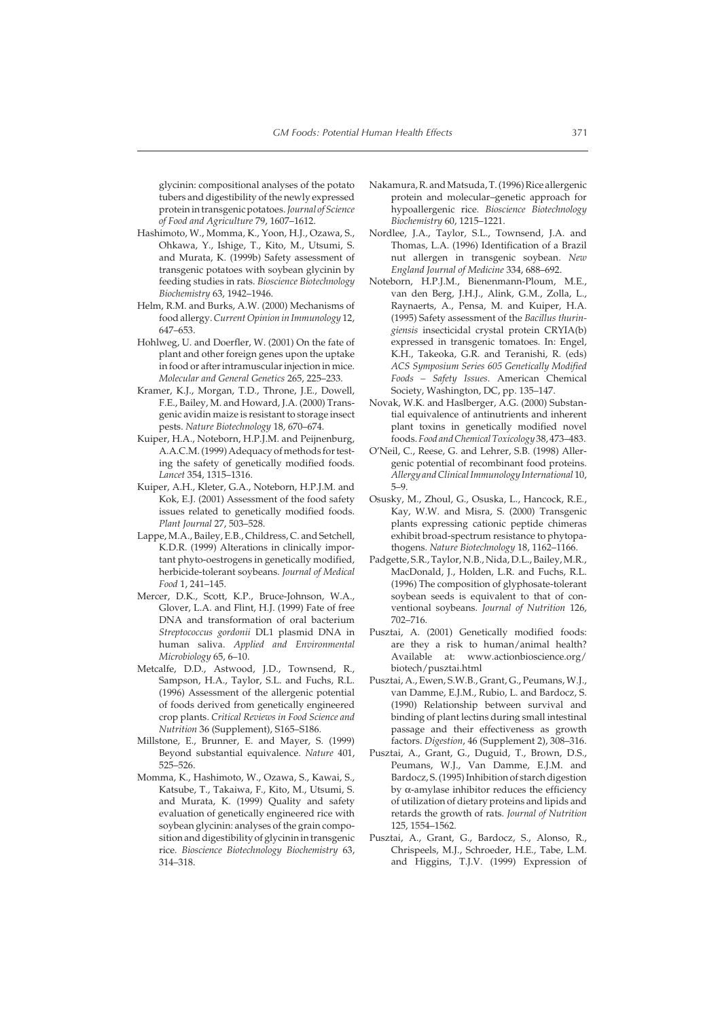glycinin: compositional analyses of the potato tubers and digestibility of the newly expressed protein in transgenic potatoes.*Journal of Science of Food and Agriculture* 79, 1607–1612.

- Hashimoto, W., Momma, K., Yoon, H.J., Ozawa, S., Ohkawa, Y., Ishige, T., Kito, M., Utsumi, S. and Murata, K. (1999b) Safety assessment of transgenic potatoes with soybean glycinin by feeding studies in rats. *Bioscience Biotechnology Biochemistry* 63, 1942–1946.
- Helm, R.M. and Burks, A.W. (2000) Mechanisms of food allergy.*Current Opinion in Immunology* 12, 647–653.
- Hohlweg, U. and Doerfler, W. (2001) On the fate of plant and other foreign genes upon the uptake in food or after intramuscular injection in mice. *Molecular and General Genetics* 265, 225–233.
- Kramer, K.J., Morgan, T.D., Throne, J.E., Dowell, F.E., Bailey, M. and Howard, J.A. (2000) Transgenic avidin maize is resistant to storage insect pests. *Nature Biotechnology* 18, 670–674.
- Kuiper, H.A., Noteborn, H.P.J.M. and Peijnenburg, A.A.C.M. (1999) Adequacy of methods for testing the safety of genetically modified foods. *Lancet* 354, 1315–1316.
- Kuiper, A.H., Kleter, G.A., Noteborn, H.P.J.M. and Kok, E.J. (2001) Assessment of the food safety issues related to genetically modified foods. *Plant Journal* 27, 503–528.
- Lappe, M.A., Bailey, E.B., Childress, C. and Setchell, K.D.R. (1999) Alterations in clinically important phyto-oestrogens in genetically modified, herbicide-tolerant soybeans. *Journal of Medical Food* 1, 241–145.
- Mercer, D.K., Scott, K.P., Bruce-Johnson, W.A., Glover, L.A. and Flint, H.J. (1999) Fate of free DNA and transformation of oral bacterium *Streptococcus gordonii* DL1 plasmid DNA in human saliva. *Applied and Environmental Microbiology* 65, 6–10.
- Metcalfe, D.D., Astwood, J.D., Townsend, R., Sampson, H.A., Taylor, S.L. and Fuchs, R.L. (1996) Assessment of the allergenic potential of foods derived from genetically engineered crop plants. *Critical Reviews in Food Science and Nutrition* 36 (Supplement), S165–S186.
- Millstone, E., Brunner, E. and Mayer, S. (1999) Beyond substantial equivalence. *Nature* 401, 525–526.
- Momma, K., Hashimoto, W., Ozawa, S., Kawai, S., Katsube, T., Takaiwa, F., Kito, M., Utsumi, S. and Murata, K. (1999) Quality and safety evaluation of genetically engineered rice with soybean glycinin: analyses of the grain composition and digestibility of glycinin in transgenic rice. *Bioscience Biotechnology Biochemistry* 63, 314–318.
- Nakamura, R. and Matsuda, T. (1996) Rice allergenic protein and molecular–genetic approach for hypoallergenic rice. *Bioscience Biotechnology Biochemistry* 60, 1215–1221.
- Nordlee, J.A., Taylor, S.L., Townsend, J.A. and Thomas, L.A. (1996) Identification of a Brazil nut allergen in transgenic soybean. *New England Journal of Medicine* 334, 688–692.
- Noteborn, H.P.J.M., Bienenmann-Ploum, M.E., van den Berg, J.H.J., Alink, G.M., Zolla, L., Raynaerts, A., Pensa, M. and Kuiper, H.A. (1995) Safety assessment of the *Bacillus thuringiensis* insecticidal crystal protein CRYIA(b) expressed in transgenic tomatoes. In: Engel, K.H., Takeoka, G.R. and Teranishi, R. (eds) *ACS Symposium Series 605 Genetically Modified Foods – Safety Issues*. American Chemical Society, Washington, DC, pp. 135–147.
- Novak, W.K. and Haslberger, A.G. (2000) Substantial equivalence of antinutrients and inherent plant toxins in genetically modified novel foods. *Food and Chemical Toxicology* 38, 473–483.
- O'Neil, C., Reese, G. and Lehrer, S.B. (1998) Allergenic potential of recombinant food proteins. *Allergy and Clinical Immunology International* 10, 5–9.
- Osusky, M., Zhoul, G., Osuska, L., Hancock, R.E., Kay, W.W. and Misra, S. (2000) Transgenic plants expressing cationic peptide chimeras exhibit broad-spectrum resistance to phytopathogens. *Nature Biotechnology* 18, 1162–1166.
- Padgette, S.R., Taylor, N.B., Nida, D.L., Bailey, M.R., MacDonald, J., Holden, L.R. and Fuchs, R.L. (1996) The composition of glyphosate-tolerant soybean seeds is equivalent to that of conventional soybeans. *Journal of Nutrition* 126, 702–716.
- Pusztai, A. (2001) Genetically modified foods: are they a risk to human/animal health? Available at: www.actionbioscience.org/ biotech/pusztai.html
- Pusztai, A., Ewen, S.W.B., Grant, G., Peumans, W.J., van Damme, E.J.M., Rubio, L. and Bardocz, S. (1990) Relationship between survival and binding of plant lectins during small intestinal passage and their effectiveness as growth factors. *Digestion*, 46 (Supplement 2), 308–316.
- Pusztai, A., Grant, G., Duguid, T., Brown, D.S., Peumans, W.J., Van Damme, E.J.M. and Bardocz, S. (1995) Inhibition of starch digestion by  $\alpha$ -amylase inhibitor reduces the efficiency of utilization of dietary proteins and lipids and retards the growth of rats. *Journal of Nutrition* 125, 1554–1562.
- Pusztai, A., Grant, G., Bardocz, S., Alonso, R., Chrispeels, M.J., Schroeder, H.E., Tabe, L.M. and Higgins, T.J.V. (1999) Expression of